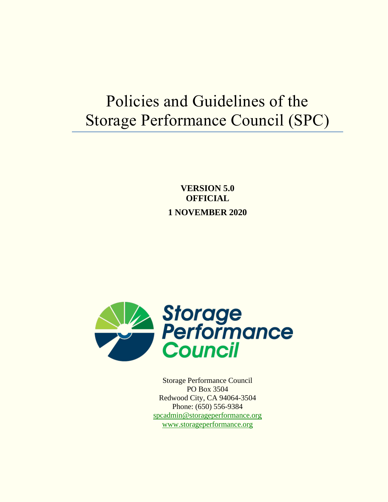# Policies and Guidelines of the Storage Performance Council (SPC)

**VERSION 5.0 OFFICIAL 1 NOVEMBER 2020**



Storage Performance Council PO Box 3504 Redwood City, CA 94064-3504 Phone: (650) 556-9384 [spcadmin@storageperformance.org](mailto:spcadmin@storageperformance.org) [www.storageperformance.org](http://www.storageperformance.org/)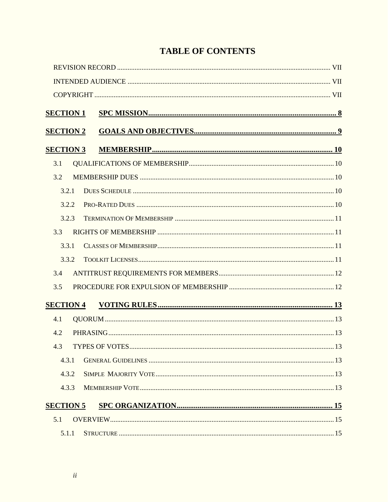# **TABLE OF CONTENTS**

| <b>SECTION 1</b> |  |
|------------------|--|
|                  |  |
| <b>SECTION 2</b> |  |
| <b>SECTION 3</b> |  |
| 3.1              |  |
| 3.2              |  |
| 3.2.1            |  |
| 3.2.2            |  |
| 3.2.3            |  |
| 3.3              |  |
| 3.3.1            |  |
| 3.3.2            |  |
| 3.4              |  |
| 3.5              |  |
| <b>SECTION 4</b> |  |
| 4.1              |  |
| 4.2              |  |
| 4.3              |  |
| 4.3.1            |  |
| 4.3.2            |  |
| 4.3.3            |  |
| <b>SECTION 5</b> |  |
| 5.1              |  |
| 5.1.1            |  |
|                  |  |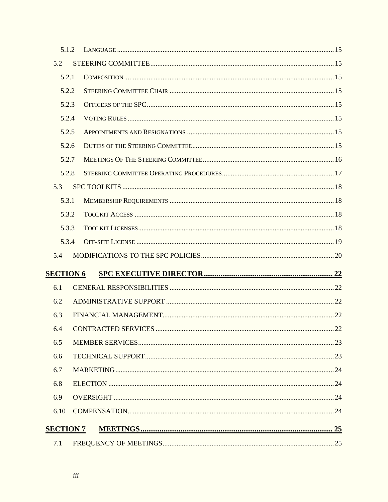| 5.1.2 |                                                                    |
|-------|--------------------------------------------------------------------|
|       |                                                                    |
| 5.2.1 |                                                                    |
| 5.2.2 |                                                                    |
| 5.2.3 |                                                                    |
| 5.2.4 |                                                                    |
| 5.2.5 |                                                                    |
| 5.2.6 |                                                                    |
| 5.2.7 |                                                                    |
| 5.2.8 |                                                                    |
|       |                                                                    |
| 5.3.1 |                                                                    |
| 5.3.2 |                                                                    |
| 5.3.3 |                                                                    |
| 5.3.4 |                                                                    |
|       |                                                                    |
|       |                                                                    |
|       |                                                                    |
|       |                                                                    |
|       |                                                                    |
|       |                                                                    |
|       |                                                                    |
|       |                                                                    |
|       |                                                                    |
|       |                                                                    |
|       |                                                                    |
|       |                                                                    |
|       |                                                                    |
|       |                                                                    |
|       | <b>SECTION 6</b><br>CONTRACTED SERVICES.<br>22<br><b>SECTION 7</b> |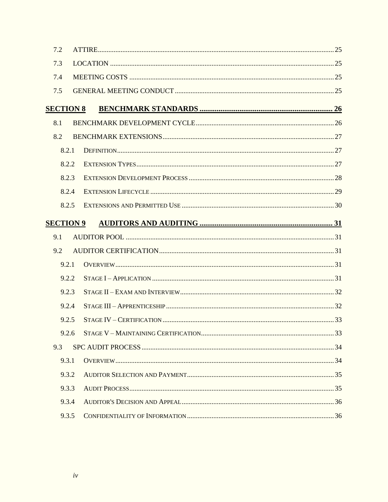| 7.2              |       |  |
|------------------|-------|--|
| 7.3              |       |  |
| 7.4              |       |  |
| 7.5              |       |  |
| <b>SECTION 8</b> |       |  |
| 8.1              |       |  |
| 8.2              |       |  |
| 8.2.1            |       |  |
|                  | 8.2.2 |  |
| 8.2.3            |       |  |
|                  | 8.2.4 |  |
|                  | 8.2.5 |  |
| <b>SECTION 9</b> |       |  |
| 9.1              |       |  |
| 9.2              |       |  |
| 9.2.1            |       |  |
| 9.2.2            |       |  |
| 9.2.3            |       |  |
|                  |       |  |
|                  | 9.2.4 |  |
|                  | 9.2.5 |  |
|                  | 9.2.6 |  |
| 9.3              |       |  |
| 9.3.1            |       |  |
| 9.3.2            |       |  |
| 9.3.3            |       |  |
| 9.3.4            |       |  |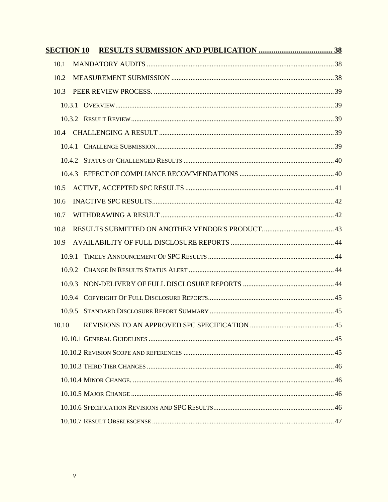| <b>SECTION 10</b> |  |
|-------------------|--|
| 10.1              |  |
| 10.2              |  |
| 10.3              |  |
|                   |  |
|                   |  |
| 10.4              |  |
| 10.4.1            |  |
|                   |  |
|                   |  |
| 10.5              |  |
| 10.6              |  |
| 10.7              |  |
| 10.8              |  |
| 10.9              |  |
| 10.9.1            |  |
| 10.9.2            |  |
| 10.9.3            |  |
| 10.9.4            |  |
| 10.9.5            |  |
| 10.10             |  |
|                   |  |
|                   |  |
|                   |  |
|                   |  |
|                   |  |
|                   |  |
|                   |  |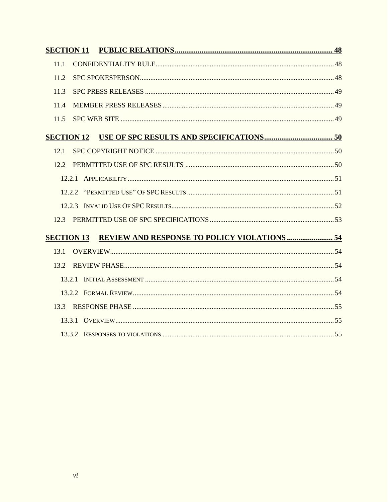| <b>SECTION 11</b> |  |
|-------------------|--|
| 11.1              |  |
| 11.2              |  |
| 11.3              |  |
| 114               |  |
| 11.5              |  |
|                   |  |
| 12.1              |  |
| 12.2              |  |
|                   |  |
|                   |  |
|                   |  |
| 12.3              |  |
| <b>SECTION 13</b> |  |
| 13.1              |  |
| 13.2              |  |
|                   |  |
|                   |  |
| 13.3              |  |
|                   |  |
|                   |  |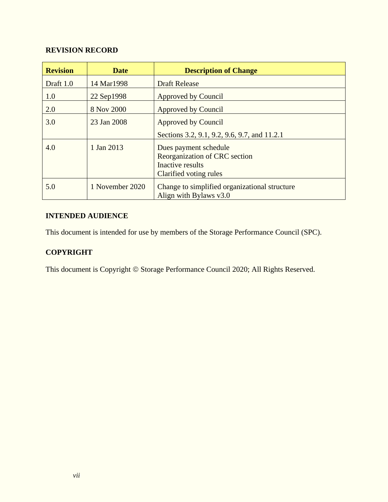# **REVISION RECORD**

| <b>Revision</b> | <b>Date</b>     | <b>Description of Change</b>                                                                         |
|-----------------|-----------------|------------------------------------------------------------------------------------------------------|
| Draft 1.0       | 14 Mar1998      | <b>Draft Release</b>                                                                                 |
| 1.0             | 22 Sep1998      | Approved by Council                                                                                  |
| 2.0             | 8 Nov 2000      | Approved by Council                                                                                  |
| 3.0             | 23 Jan 2008     | <b>Approved by Council</b>                                                                           |
|                 |                 | Sections 3.2, 9.1, 9.2, 9.6, 9.7, and 11.2.1                                                         |
| 4.0             | 1 Jan 2013      | Dues payment schedule<br>Reorganization of CRC section<br>Inactive results<br>Clarified voting rules |
| 5.0             | 1 November 2020 | Change to simplified organizational structure<br>Align with Bylaws v3.0                              |

# **INTENDED AUDIENCE**

This document is intended for use by members of the Storage Performance Council (SPC).

# **COPYRIGHT**

This document is Copyright © Storage Performance Council 2020; All Rights Reserved.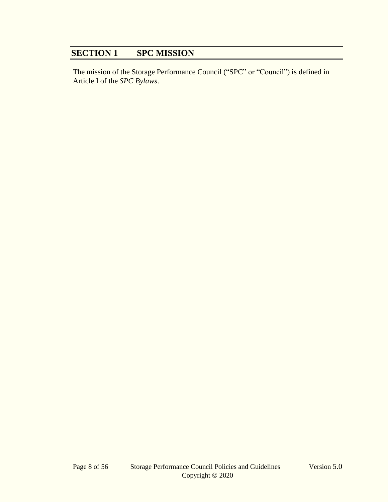# **SECTION 1 SPC MISSION**

The mission of the Storage Performance Council ("SPC" or "Council") is defined in Article I of the *SPC Bylaws*.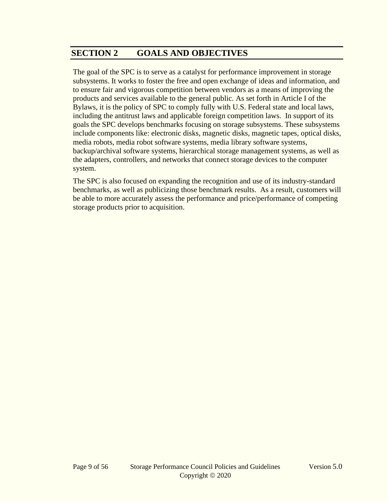# **SECTION 2 GOALS AND OBJECTIVES**

The goal of the SPC is to serve as a catalyst for performance improvement in storage subsystems. It works to foster the free and open exchange of ideas and information, and to ensure fair and vigorous competition between vendors as a means of improving the products and services available to the general public. As set forth in Article I of the Bylaws, it is the policy of SPC to comply fully with U.S. Federal state and local laws, including the antitrust laws and applicable foreign competition laws. In support of its goals the SPC develops benchmarks focusing on storage subsystems. These subsystems include components like: electronic disks, magnetic disks, magnetic tapes, optical disks, media robots, media robot software systems, media library software systems, backup/archival software systems, hierarchical storage management systems, as well as the adapters, controllers, and networks that connect storage devices to the computer system.

The SPC is also focused on expanding the recognition and use of its industry-standard benchmarks, as well as publicizing those benchmark results. As a result, customers will be able to more accurately assess the performance and price/performance of competing storage products prior to acquisition.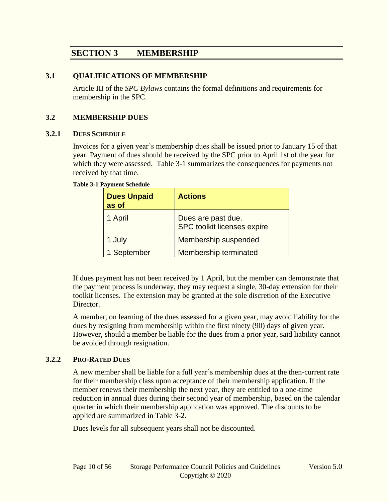# **SECTION 3 MEMBERSHIP**

#### **3.1 QUALIFICATIONS OF MEMBERSHIP**

Article III of the *SPC Bylaws* contains the formal definitions and requirements for membership in the SPC.

#### **3.2 MEMBERSHIP DUES**

#### **3.2.1 DUES SCHEDULE**

Invoices for a given year's membership dues shall be issued prior to January 15 of that year. Payment of dues should be received by the SPC prior to April 1st of the year for which they were assessed. [Table 3-1](#page-9-0) summarizes the consequences for payments not received by that time.

#### <span id="page-9-0"></span>**Table 3-1 Payment Schedule**

| <b>Dues Unpaid</b><br>as of | <b>Actions</b>                                    |
|-----------------------------|---------------------------------------------------|
| 1 April                     | Dues are past due.<br>SPC toolkit licenses expire |
| 1 July                      | Membership suspended                              |
| 1 September                 | Membership terminated                             |

If dues payment has not been received by 1 April, but the member can demonstrate that the payment process is underway, they may request a single, 30-day extension for their toolkit licenses. The extension may be granted at the sole discretion of the Executive Director.

A member, on learning of the dues assessed for a given year, may avoid liability for the dues by resigning from membership within the first ninety (90) days of given year. However, should a member be liable for the dues from a prior year, said liability cannot be avoided through resignation.

#### **3.2.2 PRO-RATED DUES**

A new member shall be liable for a full year's membership dues at the then-current rate for their membership class upon acceptance of their membership application. If the member renews their membership the next year, they are entitled to a one-time reduction in annual dues during their second year of membership, based on the calendar quarter in which their membership application was approved. The discounts to be applied are summarized in [Table 3-2.](#page-10-0)

Dues levels for all subsequent years shall not be discounted.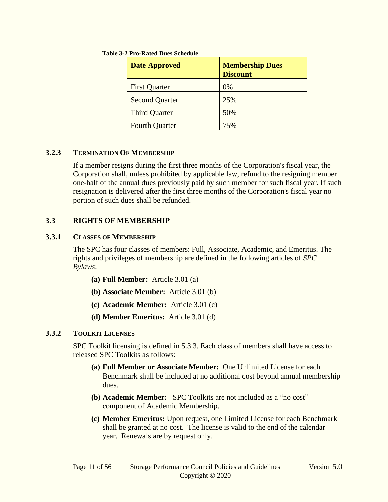| <b>Date Approved</b>  | <b>Membership Dues</b><br><b>Discount</b> |
|-----------------------|-------------------------------------------|
| <b>First Quarter</b>  | $0\%$                                     |
| <b>Second Quarter</b> | 25%                                       |
| <b>Third Quarter</b>  | 50%                                       |
| <b>Fourth Quarter</b> | 75%                                       |

#### <span id="page-10-0"></span>**Table 3-2 Pro-Rated Dues Schedule**

#### **3.2.3 TERMINATION OF MEMBERSHIP**

If a member resigns during the first three months of the Corporation's fiscal year, the Corporation shall, unless prohibited by applicable law, refund to the resigning member one-half of the annual dues previously paid by such member for such fiscal year. If such resignation is delivered after the first three months of the Corporation's fiscal year no portion of such dues shall be refunded.

#### **3.3 RIGHTS OF MEMBERSHIP**

#### **3.3.1 CLASSES OF MEMBERSHIP**

The SPC has four classes of members: Full, Associate, Academic, and Emeritus. The rights and privileges of membership are defined in the following articles of *SPC Bylaws*:

- **(a) Full Member:** Article 3.01 (a)
- **(b) Associate Member:** Article 3.01 (b)
- **(c) Academic Member:** Article 3.01 (c)
- **(d) Member Emeritus:** Article 3.01 (d)

#### <span id="page-10-1"></span>**3.3.2 TOOLKIT LICENSES**

SPC Toolkit licensing is defined in [5.3.3.](#page-17-0) Each class of members shall have access to released SPC Toolkits as follows:

- **(a) Full Member or Associate Member:** One Unlimited License for each Benchmark shall be included at no additional cost beyond annual membership dues.
- **(b) Academic Member:** SPC Toolkits are not included as a "no cost" component of Academic Membership.
- **(c) Member Emeritus:** Upon request, one Limited License for each Benchmark shall be granted at no cost. The license is valid to the end of the calendar year. Renewals are by request only.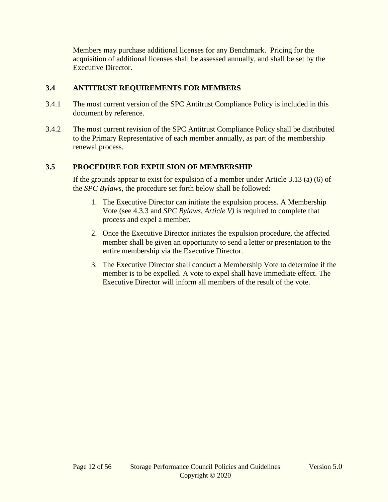Members may purchase additional licenses for any Benchmark. Pricing for the acquisition of additional licenses shall be assessed annually, and shall be set by the Executive Director.

#### **3.4 ANTITRUST REQUIREMENTS FOR MEMBERS**

- 3.4.1 The most current version of the SPC Antitrust Compliance Policy is included in this document by reference.
- 3.4.2 The most current revision of the SPC Antitrust Compliance Policy shall be distributed to the Primary Representative of each member annually, as part of the membership renewal process.

# <span id="page-11-0"></span>**3.5 PROCEDURE FOR EXPULSION OF MEMBERSHIP**

If the grounds appear to exist for expulsion of a member under Article 3.13 (a) (6) of the *SPC Bylaws*, the procedure set forth below shall be followed:

- 1. The Executive Director can initiate the expulsion process. A Membership Vote (see [4.3.3](#page-12-0) and *SPC Bylaws, Article V)* is required to complete that process and expel a member.
- 2. Once the Executive Director initiates the expulsion procedure, the affected member shall be given an opportunity to send a letter or presentation to the entire membership via the Executive Director.
- 3. The Executive Director shall conduct a Membership Vote to determine if the member is to be expelled. A vote to expel shall have immediate effect. The Executive Director will inform all members of the result of the vote.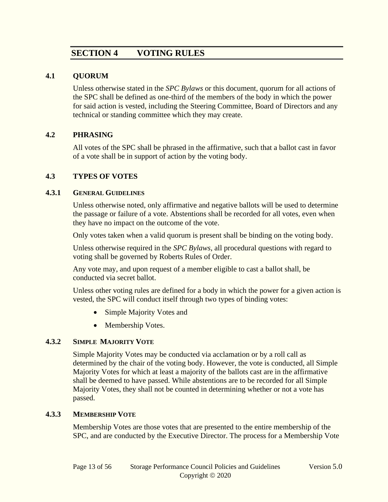# **SECTION 4 VOTING RULES**

#### **4.1 QUORUM**

Unless otherwise stated in the *SPC Bylaws* or this document, quorum for all actions of the SPC shall be defined as one-third of the members of the body in which the power for said action is vested, including the Steering Committee, Board of Directors and any technical or standing committee which they may create.

#### **4.2 PHRASING**

All votes of the SPC shall be phrased in the affirmative, such that a ballot cast in favor of a vote shall be in support of action by the voting body.

#### **4.3 TYPES OF VOTES**

#### **4.3.1 GENERAL GUIDELINES**

Unless otherwise noted, only affirmative and negative ballots will be used to determine the passage or failure of a vote. Abstentions shall be recorded for all votes, even when they have no impact on the outcome of the vote.

Only votes taken when a valid quorum is present shall be binding on the voting body.

Unless otherwise required in the *SPC Bylaws*, all procedural questions with regard to voting shall be governed by Roberts Rules of Order.

Any vote may, and upon request of a member eligible to cast a ballot shall, be conducted via secret ballot.

Unless other voting rules are defined for a body in which the power for a given action is vested, the SPC will conduct itself through two types of binding votes:

- Simple Majority Votes and
- Membership Votes.

#### **4.3.2 SIMPLE MAJORITY VOTE**

Simple Majority Votes may be conducted via acclamation or by a roll call as determined by the chair of the voting body. However, the vote is conducted, all Simple Majority Votes for which at least a majority of the ballots cast are in the affirmative shall be deemed to have passed. While abstentions are to be recorded for all Simple Majority Votes, they shall not be counted in determining whether or not a vote has passed.

#### <span id="page-12-0"></span>**4.3.3 MEMBERSHIP VOTE**

Membership Votes are those votes that are presented to the entire membership of the SPC, and are conducted by the Executive Director. The process for a Membership Vote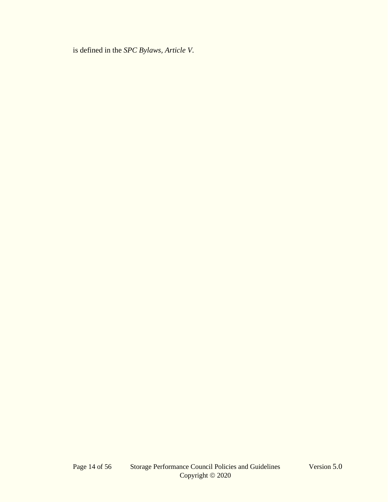is defined in the *SPC Bylaws, Article V*.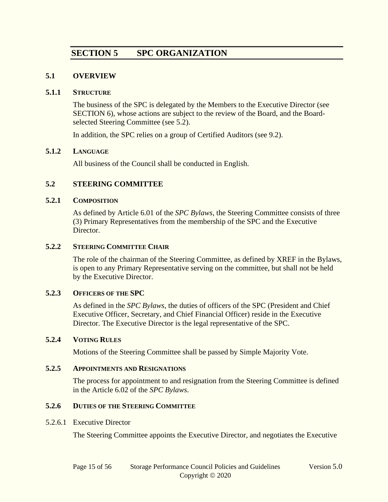# **SECTION 5 SPC ORGANIZATION**

#### **5.1 OVERVIEW**

#### **5.1.1 STRUCTURE**

The business of the SPC is delegated by the Members to the Executive Director (see [SECTION 6\)](#page-21-0), whose actions are subject to the review of the Board, and the Boardselected Steering Committee (see [5.2\)](#page-14-0).

In addition, the SPC relies on a group of Certified Auditors (see [9.2\)](#page-30-0).

#### **5.1.2 LANGUAGE**

All business of the Council shall be conducted in English.

#### <span id="page-14-0"></span>**5.2 STEERING COMMITTEE**

#### **5.2.1 COMPOSITION**

As defined by Article 6.01 of the *SPC Bylaws*, the Steering Committee consists of three (3) Primary Representatives from the membership of the SPC and the Executive Director.

#### **5.2.2 STEERING COMMITTEE CHAIR**

The role of the chairman of the Steering Committee, as defined by XREF in the Bylaws, is open to any Primary Representative serving on the committee, but shall not be held by the Executive Director.

#### **5.2.3 OFFICERS OF THE SPC**

As defined in the *SPC Bylaws*, the duties of officers of the SPC (President and Chief Executive Officer, Secretary, and Chief Financial Officer) reside in the Executive Director. The Executive Director is the legal representative of the SPC.

#### **5.2.4 VOTING RULES**

Motions of the Steering Committee shall be passed by Simple Majority Vote.

#### **5.2.5 APPOINTMENTS AND RESIGNATIONS**

The process for appointment to and resignation from the Steering Committee is defined in the Article 6.02 of the *SPC Bylaws*.

#### <span id="page-14-1"></span>**5.2.6 DUTIES OF THE STEERING COMMITTEE**

#### 5.2.6.1 Executive Director

The Steering Committee appoints the Executive Director, and negotiates the Executive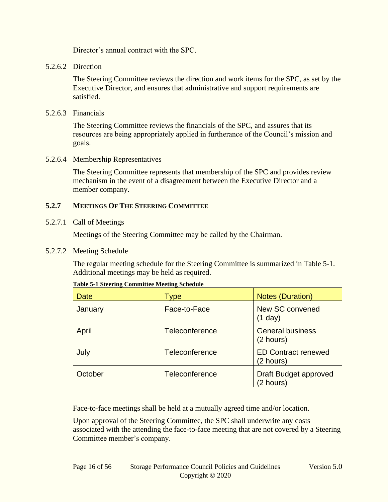Director's annual contract with the SPC.

#### 5.2.6.2 Direction

The Steering Committee reviews the direction and work items for the SPC, as set by the Executive Director, and ensures that administrative and support requirements are satisfied.

#### 5.2.6.3 Financials

The Steering Committee reviews the financials of the SPC, and assures that its resources are being appropriately applied in furtherance of the Council's mission and goals.

#### 5.2.6.4 Membership Representatives

The Steering Committee represents that membership of the SPC and provides review mechanism in the event of a disagreement between the Executive Director and a member company.

#### **5.2.7 MEETINGS OF THE STEERING COMMITTEE**

#### 5.2.7.1 Call of Meetings

Meetings of the Steering Committee may be called by the Chairman.

#### 5.2.7.2 Meeting Schedule

The regular meeting schedule for the Steering Committee is summarized in [Table 5-1.](#page-15-0) Additional meetings may be held as required.

| Date    | Type           | <b>Notes (Duration)</b>                   |
|---------|----------------|-------------------------------------------|
| January | Face-to-Face   | New SC convened<br>$(1$ day)              |
| April   | Teleconference | <b>General business</b><br>(2 hours)      |
| July    | Teleconference | <b>ED Contract renewed</b><br>(2 hours)   |
| October | Teleconference | <b>Draft Budget approved</b><br>(2 hours) |

#### <span id="page-15-0"></span>**Table 5-1 Steering Committee Meeting Schedule**

Face-to-face meetings shall be held at a mutually agreed time and/or location.

Upon approval of the Steering Committee, the SPC shall underwrite any costs associated with the attending the face-to-face meeting that are not covered by a Steering Committee member's company.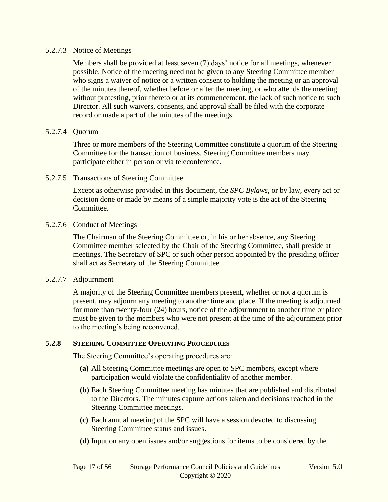#### 5.2.7.3 Notice of Meetings

Members shall be provided at least seven (7) days' notice for all meetings, whenever possible. Notice of the meeting need not be given to any Steering Committee member who signs a waiver of notice or a written consent to holding the meeting or an approval of the minutes thereof, whether before or after the meeting, or who attends the meeting without protesting, prior thereto or at its commencement, the lack of such notice to such Director. All such waivers, consents, and approval shall be filed with the corporate record or made a part of the minutes of the meetings.

#### 5.2.7.4 Quorum

Three or more members of the Steering Committee constitute a quorum of the Steering Committee for the transaction of business. Steering Committee members may participate either in person or via teleconference.

#### 5.2.7.5 Transactions of Steering Committee

Except as otherwise provided in this document, the *SPC Bylaws*, or by law, every act or decision done or made by means of a simple majority vote is the act of the Steering Committee.

#### 5.2.7.6 Conduct of Meetings

The Chairman of the Steering Committee or, in his or her absence, any Steering Committee member selected by the Chair of the Steering Committee, shall preside at meetings. The Secretary of SPC or such other person appointed by the presiding officer shall act as Secretary of the Steering Committee.

#### 5.2.7.7 Adjournment

A majority of the Steering Committee members present, whether or not a quorum is present, may adjourn any meeting to another time and place. If the meeting is adjourned for more than twenty-four (24) hours, notice of the adjournment to another time or place must be given to the members who were not present at the time of the adjournment prior to the meeting's being reconvened.

#### **5.2.8 STEERING COMMITTEE OPERATING PROCEDURES**

The Steering Committee's operating procedures are:

- **(a)** All Steering Committee meetings are open to SPC members, except where participation would violate the confidentiality of another member.
- **(b)** Each Steering Committee meeting has minutes that are published and distributed to the Directors. The minutes capture actions taken and decisions reached in the Steering Committee meetings.
- **(c)** Each annual meeting of the SPC will have a session devoted to discussing Steering Committee status and issues.
- **(d)** Input on any open issues and/or suggestions for items to be considered by the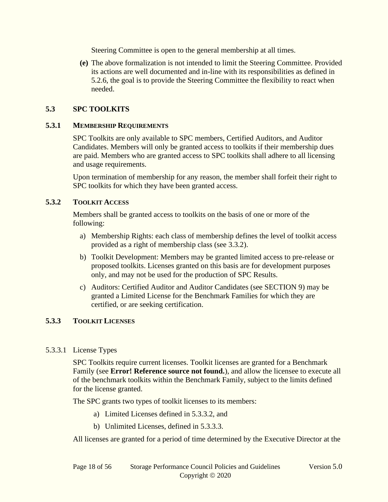Steering Committee is open to the general membership at all times.

**(e)** The above formalization is not intended to limit the Steering Committee. Provided its actions are well documented and in-line with its responsibilities as defined in [5.2.6,](#page-14-1) the goal is to provide the Steering Committee the flexibility to react when needed.

### **5.3 SPC TOOLKITS**

#### **5.3.1 MEMBERSHIP REQUIREMENTS**

SPC Toolkits are only available to SPC members, Certified Auditors, and Auditor Candidates. Members will only be granted access to toolkits if their membership dues are paid. Members who are granted access to SPC toolkits shall adhere to all licensing and usage requirements.

Upon termination of membership for any reason, the member shall forfeit their right to SPC toolkits for which they have been granted access.

#### **5.3.2 TOOLKIT ACCESS**

Members shall be granted access to toolkits on the basis of one or more of the following:

- a) Membership Rights: each class of membership defines the level of toolkit access provided as a right of membership class (see [3.3.2\)](#page-10-1).
- b) Toolkit Development: Members may be granted limited access to pre-release or proposed toolkits. Licenses granted on this basis are for development purposes only, and may not be used for the production of SPC Results.
- c) Auditors: Certified Auditor and Auditor Candidates (see [SECTION 9\)](#page-30-1) may be granted a Limited License for the Benchmark Families for which they are certified, or are seeking certification.

# <span id="page-17-0"></span>**5.3.3 TOOLKIT LICENSES**

#### 5.3.3.1 License Types

SPC Toolkits require current licenses. Toolkit licenses are granted for a Benchmark Family (see **Error! Reference source not found.**), and allow the licensee to execute all of the benchmark toolkits within the Benchmark Family, subject to the limits defined for the license granted.

The SPC grants two types of toolkit licenses to its members:

- a) Limited Licenses defined in [5.3.3.2,](#page-18-0) and
- b) Unlimited Licenses, defined in [5.3.3.3.](#page-18-1)

All licenses are granted for a period of time determined by the Executive Director at the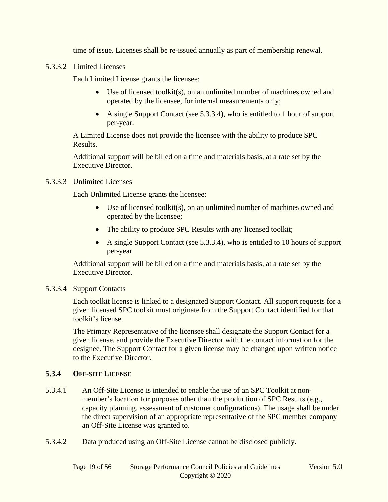time of issue. Licenses shall be re-issued annually as part of membership renewal.

<span id="page-18-0"></span>5.3.3.2 Limited Licenses

Each Limited License grants the licensee:

- Use of licensed toolkit(s), on an unlimited number of machines owned and operated by the licensee, for internal measurements only;
- A single Support Contact (see [5.3.3.4\)](#page-18-2), who is entitled to 1 hour of support per-year.

A Limited License does not provide the licensee with the ability to produce SPC Results.

Additional support will be billed on a time and materials basis, at a rate set by the Executive Director.

#### <span id="page-18-1"></span>5.3.3.3 Unlimited Licenses

Each Unlimited License grants the licensee:

- Use of licensed toolkit(s), on an unlimited number of machines owned and operated by the licensee;
- The ability to produce SPC Results with any licensed toolkit;
- A single Support Contact (see [5.3.3.4\)](#page-18-2), who is entitled to 10 hours of support per-year.

Additional support will be billed on a time and materials basis, at a rate set by the Executive Director.

#### <span id="page-18-2"></span>5.3.3.4 Support Contacts

Each toolkit license is linked to a designated Support Contact. All support requests for a given licensed SPC toolkit must originate from the Support Contact identified for that toolkit's license.

The Primary Representative of the licensee shall designate the Support Contact for a given license, and provide the Executive Director with the contact information for the designee. The Support Contact for a given license may be changed upon written notice to the Executive Director.

#### **5.3.4 OFF-SITE LICENSE**

- 5.3.4.1 An Off-Site License is intended to enable the use of an SPC Toolkit at nonmember's location for purposes other than the production of SPC Results (e.g., capacity planning, assessment of customer configurations). The usage shall be under the direct supervision of an appropriate representative of the SPC member company an Off-Site License was granted to.
- 5.3.4.2 Data produced using an Off-Site License cannot be disclosed publicly.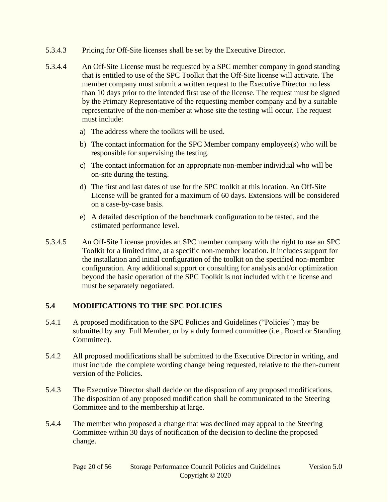- 5.3.4.3 Pricing for Off-Site licenses shall be set by the Executive Director.
- 5.3.4.4 An Off-Site License must be requested by a SPC member company in good standing that is entitled to use of the SPC Toolkit that the Off-Site license will activate. The member company must submit a written request to the Executive Director no less than 10 days prior to the intended first use of the license. The request must be signed by the Primary Representative of the requesting member company and by a suitable representative of the non-member at whose site the testing will occur. The request must include:
	- a) The address where the toolkits will be used.
	- b) The contact information for the SPC Member company employee(s) who will be responsible for supervising the testing.
	- c) The contact information for an appropriate non-member individual who will be on-site during the testing.
	- d) The first and last dates of use for the SPC toolkit at this location. An Off-Site License will be granted for a maximum of 60 days. Extensions will be considered on a case-by-case basis.
	- e) A detailed description of the benchmark configuration to be tested, and the estimated performance level.
- 5.3.4.5 An Off-Site License provides an SPC member company with the right to use an SPC Toolkit for a limited time, at a specific non-member location. It includes support for the installation and initial configuration of the toolkit on the specified non-member configuration. Any additional support or consulting for analysis and/or optimization beyond the basic operation of the SPC Toolkit is not included with the license and must be separately negotiated.

#### **5.4 MODIFICATIONS TO THE SPC POLICIES**

- 5.4.1 A proposed modification to the SPC Policies and Guidelines ("Policies") may be submitted by any Full Member, or by a duly formed committee (i.e., Board or Standing Committee).
- 5.4.2 All proposed modifications shall be submitted to the Executive Director in writing, and must include the complete wording change being requested, relative to the then-current version of the Policies.
- 5.4.3 The Executive Director shall decide on the dispostion of any proposed modifications. The disposition of any proposed modification shall be communicated to the Steering Committee and to the membership at large.
- 5.4.4 The member who proposed a change that was declined may appeal to the Steering Committee within 30 days of notification of the decision to decline the proposed change.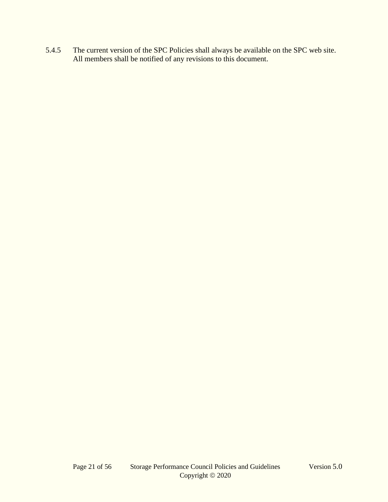5.4.5 The current version of the SPC Policies shall always be available on the SPC web site. All members shall be notified of any revisions to this document.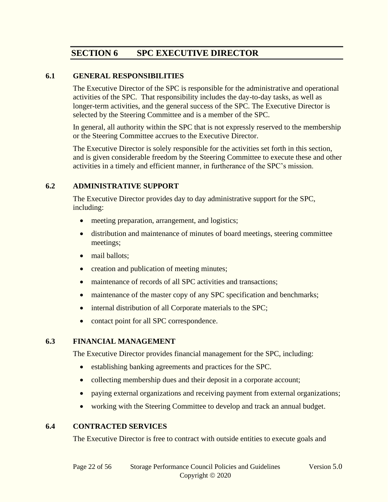# **SECTION 6 SPC EXECUTIVE DIRECTOR**

#### <span id="page-21-0"></span>**6.1 GENERAL RESPONSIBILITIES**

The Executive Director of the SPC is responsible for the administrative and operational activities of the SPC. That responsibility includes the day-to-day tasks, as well as longer-term activities, and the general success of the SPC. The Executive Director is selected by the Steering Committee and is a member of the SPC.

In general, all authority within the SPC that is not expressly reserved to the membership or the Steering Committee accrues to the Executive Director.

The Executive Director is solely responsible for the activities set forth in this section, and is given considerable freedom by the Steering Committee to execute these and other activities in a timely and efficient manner, in furtherance of the SPC's mission.

#### **6.2 ADMINISTRATIVE SUPPORT**

The Executive Director provides day to day administrative support for the SPC, including:

- meeting preparation, arrangement, and logistics;
- distribution and maintenance of minutes of board meetings, steering committee meetings;
- mail ballots:
- creation and publication of meeting minutes;
- maintenance of records of all SPC activities and transactions;
- maintenance of the master copy of any SPC specification and benchmarks;
- internal distribution of all Corporate materials to the SPC;
- contact point for all SPC correspondence.

#### **6.3 FINANCIAL MANAGEMENT**

The Executive Director provides financial management for the SPC, including:

- establishing banking agreements and practices for the SPC.
- collecting membership dues and their deposit in a corporate account;
- paying external organizations and receiving payment from external organizations;
- working with the Steering Committee to develop and track an annual budget.

#### **6.4 CONTRACTED SERVICES**

The Executive Director is free to contract with outside entities to execute goals and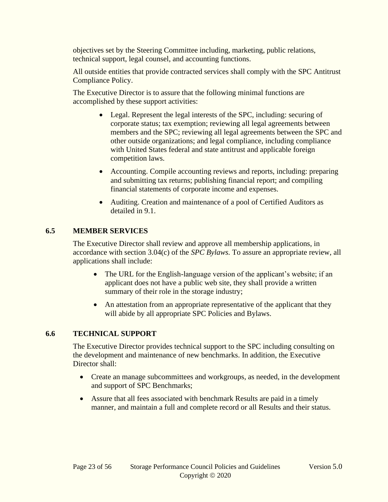objectives set by the Steering Committee including, marketing, public relations, technical support, legal counsel, and accounting functions.

All outside entities that provide contracted services shall comply with the SPC Antitrust Compliance Policy.

The Executive Director is to assure that the following minimal functions are accomplished by these support activities:

- Legal. Represent the legal interests of the SPC, including: securing of corporate status; tax exemption; reviewing all legal agreements between members and the SPC; reviewing all legal agreements between the SPC and other outside organizations; and legal compliance, including compliance with United States federal and state antitrust and applicable foreign competition laws.
- Accounting. Compile accounting reviews and reports, including: preparing and submitting tax returns; publishing financial report; and compiling financial statements of corporate income and expenses.
- Auditing. Creation and maintenance of a pool of Certified Auditors as detailed in [9.1.](#page-30-2)

#### **6.5 MEMBER SERVICES**

The Executive Director shall review and approve all membership applications, in accordance with section 3.04(c) of the *SPC Bylaws.* To assure an appropriate review, all applications shall include:

- The URL for the English-language version of the applicant's website; if an applicant does not have a public web site, they shall provide a written summary of their role in the storage industry;
- An attestation from an appropriate representative of the applicant that they will abide by all appropriate SPC Policies and Bylaws.

#### **6.6 TECHNICAL SUPPORT**

The Executive Director provides technical support to the SPC including consulting on the development and maintenance of new benchmarks. In addition, the Executive Director shall:

- Create an manage subcommittees and workgroups, as needed, in the development and support of SPC Benchmarks;
- Assure that all fees associated with benchmark Results are paid in a timely manner, and maintain a full and complete record or all Results and their status.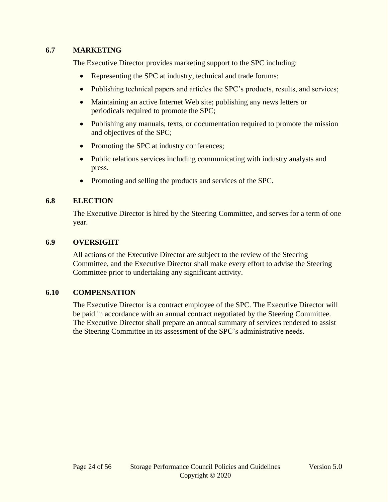#### **6.7 MARKETING**

The Executive Director provides marketing support to the SPC including:

- Representing the SPC at industry, technical and trade forums;
- Publishing technical papers and articles the SPC's products, results, and services;
- Maintaining an active Internet Web site; publishing any news letters or periodicals required to promote the SPC;
- Publishing any manuals, texts, or documentation required to promote the mission and objectives of the SPC;
- Promoting the SPC at industry conferences;
- Public relations services including communicating with industry analysts and press.
- Promoting and selling the products and services of the SPC.

#### **6.8 ELECTION**

The Executive Director is hired by the Steering Committee, and serves for a term of one year.

#### **6.9 OVERSIGHT**

All actions of the Executive Director are subject to the review of the Steering Committee, and the Executive Director shall make every effort to advise the Steering Committee prior to undertaking any significant activity.

# **6.10 COMPENSATION**

The Executive Director is a contract employee of the SPC. The Executive Director will be paid in accordance with an annual contract negotiated by the Steering Committee. The Executive Director shall prepare an annual summary of services rendered to assist the Steering Committee in its assessment of the SPC's administrative needs.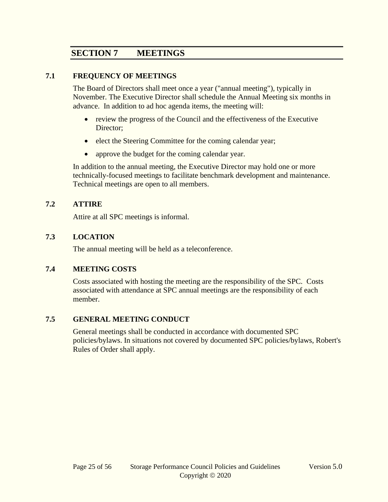# **SECTION 7 MEETINGS**

#### **7.1 FREQUENCY OF MEETINGS**

The Board of Directors shall meet once a year ("annual meeting"), typically in November. The Executive Director shall schedule the Annual Meeting six months in advance. In addition to ad hoc agenda items, the meeting will:

- review the progress of the Council and the effectiveness of the Executive Director;
- elect the Steering Committee for the coming calendar year;
- approve the budget for the coming calendar year.

In addition to the annual meeting, the Executive Director may hold one or more technically-focused meetings to facilitate benchmark development and maintenance. Technical meetings are open to all members.

#### **7.2 ATTIRE**

Attire at all SPC meetings is informal.

#### **7.3 LOCATION**

The annual meeting will be held as a teleconference.

#### **7.4 MEETING COSTS**

Costs associated with hosting the meeting are the responsibility of the SPC. Costs associated with attendance at SPC annual meetings are the responsibility of each member.

#### **7.5 GENERAL MEETING CONDUCT**

General meetings shall be conducted in accordance with documented SPC policies/bylaws. In situations not covered by documented SPC policies/bylaws, Robert's Rules of Order shall apply.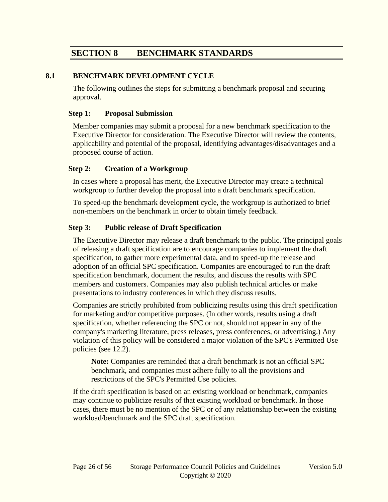# **SECTION 8 BENCHMARK STANDARDS**

#### **8.1 BENCHMARK DEVELOPMENT CYCLE**

The following outlines the steps for submitting a benchmark proposal and securing approval.

#### **Step 1: Proposal Submission**

Member companies may submit a proposal for a new benchmark specification to the Executive Director for consideration. The Executive Director will review the contents, applicability and potential of the proposal, identifying advantages/disadvantages and a proposed course of action.

#### **Step 2: Creation of a Workgroup**

In cases where a proposal has merit, the Executive Director may create a technical workgroup to further develop the proposal into a draft benchmark specification.

To speed-up the benchmark development cycle, the workgroup is authorized to brief non-members on the benchmark in order to obtain timely feedback.

#### **Step 3: Public release of Draft Specification**

The Executive Director may release a draft benchmark to the public. The principal goals of releasing a draft specification are to encourage companies to implement the draft specification, to gather more experimental data, and to speed-up the release and adoption of an official SPC specification. Companies are encouraged to run the draft specification benchmark, document the results, and discuss the results with SPC members and customers. Companies may also publish technical articles or make presentations to industry conferences in which they discuss results.

Companies are strictly prohibited from publicizing results using this draft specification for marketing and/or competitive purposes. (In other words, results using a draft specification, whether referencing the SPC or not, should not appear in any of the company's marketing literature, press releases, press conferences, or advertising.) Any violation of this policy will be considered a major violation of the SPC's Permitted Use policies (see [12.2\)](#page-49-0).

**Note:** Companies are reminded that a draft benchmark is not an official SPC benchmark, and companies must adhere fully to all the provisions and restrictions of the SPC's Permitted Use policies.

If the draft specification is based on an existing workload or benchmark, companies may continue to publicize results of that existing workload or benchmark. In those cases, there must be no mention of the SPC or of any relationship between the existing workload/benchmark and the SPC draft specification.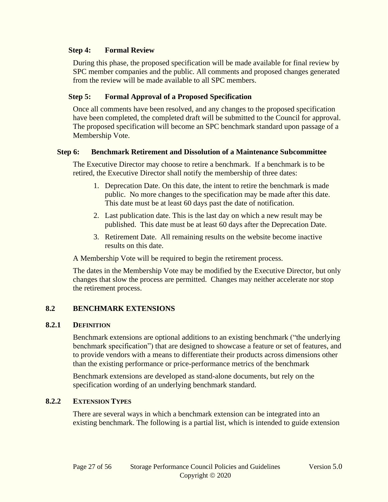#### **Step 4: Formal Review**

During this phase, the proposed specification will be made available for final review by SPC member companies and the public. All comments and proposed changes generated from the review will be made available to all SPC members.

#### **Step 5: Formal Approval of a Proposed Specification**

Once all comments have been resolved, and any changes to the proposed specification have been completed, the completed draft will be submitted to the Council for approval. The proposed specification will become an SPC benchmark standard upon passage of a Membership Vote.

#### **Step 6: Benchmark Retirement and Dissolution of a Maintenance Subcommittee**

The Executive Director may choose to retire a benchmark. If a benchmark is to be retired, the Executive Director shall notify the membership of three dates:

- 1. Deprecation Date. On this date, the intent to retire the benchmark is made public. No more changes to the specification may be made after this date. This date must be at least 60 days past the date of notification.
- 2. Last publication date. This is the last day on which a new result may be published. This date must be at least 60 days after the Deprecation Date.
- 3. Retirement Date. All remaining results on the website become inactive results on this date.

A Membership Vote will be required to begin the retirement process.

The dates in the Membership Vote may be modified by the Executive Director, but only changes that slow the process are permitted. Changes may neither accelerate nor stop the retirement process.

#### **8.2 BENCHMARK EXTENSIONS**

#### **8.2.1 DEFINITION**

Benchmark extensions are optional additions to an existing benchmark ("the underlying benchmark specification") that are designed to showcase a feature or set of features, and to provide vendors with a means to differentiate their products across dimensions other than the existing performance or price-performance metrics of the benchmark

Benchmark extensions are developed as stand-alone documents, but rely on the specification wording of an underlying benchmark standard.

#### **8.2.2 EXTENSION TYPES**

There are several ways in which a benchmark extension can be integrated into an existing benchmark. The following is a partial list, which is intended to guide extension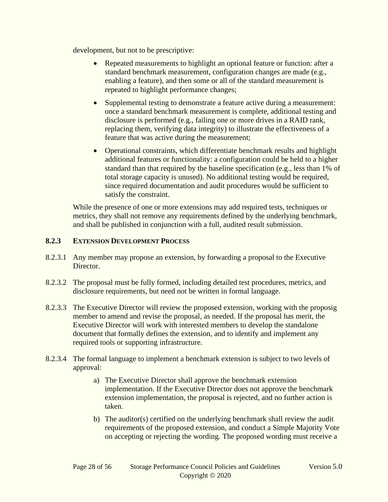development, but not to be prescriptive:

- Repeated measurements to highlight an optional feature or function: after a standard benchmark measurement, configuration changes are made (e.g., enabling a feature), and then some or all of the standard measurement is repeated to highlight performance changes;
- Supplemental testing to demonstrate a feature active during a measurement: once a standard benchmark measurement is complete, additional testing and disclosure is performed (e.g., failing one or more drives in a RAID rank, replacing them, verifying data integrity) to illustrate the effectiveness of a feature that was active during the measurement;
- Operational constraints, which differentiate benchmark results and highlight additional features or functionality: a configuration could be held to a higher standard than that required by the baseline specification (e.g., less than 1% of total storage capacity is unused). No additional testing would be required, since required documentation and audit procedures would be sufficient to satisfy the constraint.

While the presence of one or more extensions may add required tests, techniques or metrics, they shall not remove any requirements defined by the underlying benchmark, and shall be published in conjunction with a full, audited result submission.

#### **8.2.3 EXTENSION DEVELOPMENT PROCESS**

- 8.2.3.1 Any member may propose an extension, by forwarding a proposal to the Executive Director.
- 8.2.3.2 The proposal must be fully formed, including detailed test procedures, metrics, and disclosure requirements, but need not be written in formal language.
- 8.2.3.3 The Executive Director will review the proposed extension, working with the proposig member to amend and revise the proposal, as needed. If the proposal has merit, the Executive Director will work with interested members to develop the standalone document that formally defines the extension, and to identify and implement any required tools or supporting infrastructure.
- 8.2.3.4 The formal language to implement a benchmark extension is subject to two levels of approval:
	- a) The Executive Director shall approve the benchmark extension implementation. If the Executive Director does not approve the benchmark extension implementation, the proposal is rejected, and no further action is taken.
	- b) The auditor(s) certified on the underlying benchmark shall review the audit requirements of the proposed extension, and conduct a Simple Majority Vote on accepting or rejecting the wording. The proposed wording must receive a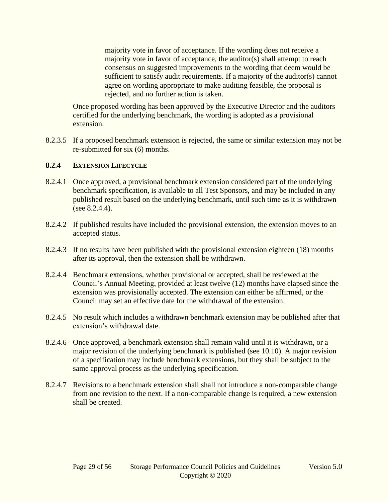majority vote in favor of acceptance. If the wording does not receive a majority vote in favor of acceptance, the auditor(s) shall attempt to reach consensus on suggested improvements to the wording that deem would be sufficient to satisfy audit requirements. If a majority of the auditor(s) cannot agree on wording appropriate to make auditing feasible, the proposal is rejected, and no further action is taken.

Once proposed wording has been approved by the Executive Director and the auditors certified for the underlying benchmark, the wording is adopted as a provisional extension.

8.2.3.5 If a proposed benchmark extension is rejected, the same or similar extension may not be re-submitted for six (6) months.

#### **8.2.4 EXTENSION LIFECYCLE**

- 8.2.4.1 Once approved, a provisional benchmark extension considered part of the underlying benchmark specification, is available to all Test Sponsors, and may be included in any published result based on the underlying benchmark, until such time as it is withdrawn (see [8.2.4.4\)](#page-28-0).
- 8.2.4.2 If published results have included the provisional extension, the extension moves to an accepted status.
- 8.2.4.3 If no results have been published with the provisional extension eighteen (18) months after its approval, then the extension shall be withdrawn.
- <span id="page-28-0"></span>8.2.4.4 Benchmark extensions, whether provisional or accepted, shall be reviewed at the Council's Annual Meeting, provided at least twelve (12) months have elapsed since the extension was provisionally accepted. The extension can either be affirmed, or the Council may set an effective date for the withdrawal of the extension.
- 8.2.4.5 No result which includes a withdrawn benchmark extension may be published after that extension's withdrawal date.
- 8.2.4.6 Once approved, a benchmark extension shall remain valid until it is withdrawn, or a major revision of the underlying benchmark is published (see [10.10\)](#page-44-0). A major revision of a specification may include benchmark extensions, but they shall be subject to the same approval process as the underlying specification.
- 8.2.4.7 Revisions to a benchmark extension shall shall not introduce a non-comparable change from one revision to the next. If a non-comparable change is required, a new extension shall be created.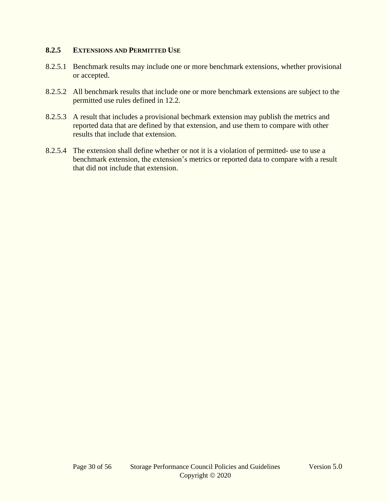#### **8.2.5 EXTENSIONS AND PERMITTED USE**

- 8.2.5.1 Benchmark results may include one or more benchmark extensions, whether provisional or accepted.
- 8.2.5.2 All benchmark results that include one or more benchmark extensions are subject to the permitted use rules defined in [12.2.](#page-49-0)
- 8.2.5.3 A result that includes a provisional bechmark extension may publish the metrics and reported data that are defined by that extension, and use them to compare with other results that include that extension.
- 8.2.5.4 The extension shall define whether or not it is a violation of permitted- use to use a benchmark extension, the extension's metrics or reported data to compare with a result that did not include that extension.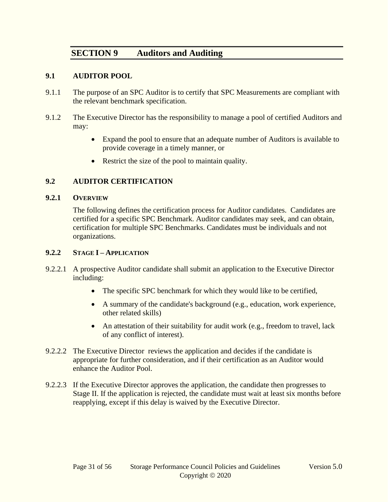# <span id="page-30-1"></span>**SECTION 9 Auditors and Auditing**

#### <span id="page-30-2"></span>**9.1 AUDITOR POOL**

- 9.1.1 The purpose of an SPC Auditor is to certify that SPC Measurements are compliant with the relevant benchmark specification.
- 9.1.2 The Executive Director has the responsibility to manage a pool of certified Auditors and may:
	- Expand the pool to ensure that an adequate number of Auditors is available to provide coverage in a timely manner, or
	- Restrict the size of the pool to maintain quality.

#### <span id="page-30-0"></span>**9.2 AUDITOR CERTIFICATION**

#### **9.2.1 OVERVIEW**

The following defines the certification process for Auditor candidates. Candidates are certified for a specific SPC Benchmark. Auditor candidates may seek, and can obtain, certification for multiple SPC Benchmarks. Candidates must be individuals and not organizations.

#### **9.2.2 STAGE I – APPLICATION**

- 9.2.2.1 A prospective Auditor candidate shall submit an application to the Executive Director including:
	- The specific SPC benchmark for which they would like to be certified,
	- A summary of the candidate's background (e.g., education, work experience, other related skills)
	- An attestation of their suitability for audit work (e.g., freedom to travel, lack of any conflict of interest).
- 9.2.2.2 The Executive Director reviews the application and decides if the candidate is appropriate for further consideration, and if their certification as an Auditor would enhance the Auditor Pool.
- 9.2.2.3 If the Executive Director approves the application, the candidate then progresses to Stage II. If the application is rejected, the candidate must wait at least six months before reapplying, except if this delay is waived by the Executive Director.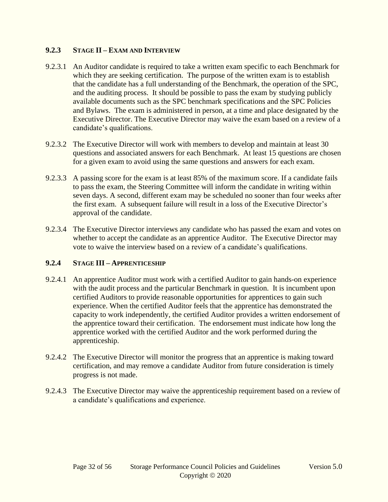#### **9.2.3 STAGE II – EXAM AND INTERVIEW**

- 9.2.3.1 An Auditor candidate is required to take a written exam specific to each Benchmark for which they are seeking certification. The purpose of the written exam is to establish that the candidate has a full understanding of the Benchmark, the operation of the SPC, and the auditing process. It should be possible to pass the exam by studying publicly available documents such as the SPC benchmark specifications and the SPC Policies and Bylaws. The exam is administered in person, at a time and place designated by the Executive Director. The Executive Director may waive the exam based on a review of a candidate's qualifications.
- 9.2.3.2 The Executive Director will work with members to develop and maintain at least 30 questions and associated answers for each Benchmark. At least 15 questions are chosen for a given exam to avoid using the same questions and answers for each exam.
- 9.2.3.3 A passing score for the exam is at least 85% of the maximum score. If a candidate fails to pass the exam, the Steering Committee will inform the candidate in writing within seven days. A second, different exam may be scheduled no sooner than four weeks after the first exam. A subsequent failure will result in a loss of the Executive Director's approval of the candidate.
- 9.2.3.4 The Executive Director interviews any candidate who has passed the exam and votes on whether to accept the candidate as an apprentice Auditor. The Executive Director may vote to waive the interview based on a review of a candidate's qualifications.

# **9.2.4 STAGE III – APPRENTICESHIP**

- 9.2.4.1 An apprentice Auditor must work with a certified Auditor to gain hands-on experience with the audit process and the particular Benchmark in question. It is incumbent upon certified Auditors to provide reasonable opportunities for apprentices to gain such experience. When the certified Auditor feels that the apprentice has demonstrated the capacity to work independently, the certified Auditor provides a written endorsement of the apprentice toward their certification. The endorsement must indicate how long the apprentice worked with the certified Auditor and the work performed during the apprenticeship.
- 9.2.4.2 The Executive Director will monitor the progress that an apprentice is making toward certification, and may remove a candidate Auditor from future consideration is timely progress is not made.
- 9.2.4.3 The Executive Director may waive the apprenticeship requirement based on a review of a candidate's qualifications and experience.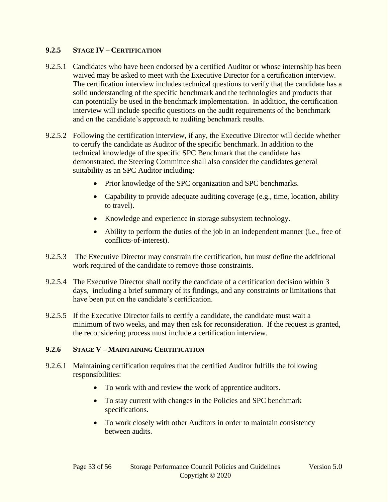#### **9.2.5 STAGE IV – CERTIFICATION**

- 9.2.5.1 Candidates who have been endorsed by a certified Auditor or whose internship has been waived may be asked to meet with the Executive Director for a certification interview. The certification interview includes technical questions to verify that the candidate has a solid understanding of the specific benchmark and the technologies and products that can potentially be used in the benchmark implementation. In addition, the certification interview will include specific questions on the audit requirements of the benchmark and on the candidate's approach to auditing benchmark results.
- 9.2.5.2 Following the certification interview, if any, the Executive Director will decide whether to certify the candidate as Auditor of the specific benchmark. In addition to the technical knowledge of the specific SPC Benchmark that the candidate has demonstrated, the Steering Committee shall also consider the candidates general suitability as an SPC Auditor including:
	- Prior knowledge of the SPC organization and SPC benchmarks.
	- Capability to provide adequate auditing coverage (e.g., time, location, ability to travel).
	- Knowledge and experience in storage subsystem technology.
	- Ability to perform the duties of the job in an independent manner (i.e., free of conflicts-of-interest).
- 9.2.5.3 The Executive Director may constrain the certification, but must define the additional work required of the candidate to remove those constraints.
- 9.2.5.4 The Executive Director shall notify the candidate of a certification decision within 3 days, including a brief summary of its findings, and any constraints or limitations that have been put on the candidate's certification.
- 9.2.5.5 If the Executive Director fails to certify a candidate, the candidate must wait a minimum of two weeks, and may then ask for reconsideration. If the request is granted, the reconsidering process must include a certification interview.

#### **9.2.6 STAGE V – MAINTAINING CERTIFICATION**

- 9.2.6.1 Maintaining certification requires that the certified Auditor fulfills the following responsibilities:
	- To work with and review the work of apprentice auditors.
	- To stay current with changes in the Policies and SPC benchmark specifications.
	- To work closely with other Auditors in order to maintain consistency between audits.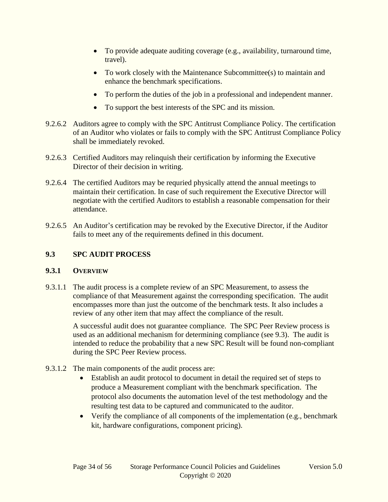- To provide adequate auditing coverage (e.g., availability, turnaround time, travel).
- To work closely with the Maintenance Subcommittee(s) to maintain and enhance the benchmark specifications.
- To perform the duties of the job in a professional and independent manner.
- To support the best interests of the SPC and its mission.
- 9.2.6.2 Auditors agree to comply with the SPC Antitrust Compliance Policy. The certification of an Auditor who violates or fails to comply with the SPC Antitrust Compliance Policy shall be immediately revoked.
- 9.2.6.3 Certified Auditors may relinquish their certification by informing the Executive Director of their decision in writing.
- 9.2.6.4 The certified Auditors may be requried physically attend the annual meetings to maintain their certification. In case of such requirement the Executive Director will negotiate with the certified Auditors to establish a reasonable compensation for their attendance.
- 9.2.6.5 An Auditor's certification may be revoked by the Executive Director, if the Auditor fails to meet any of the requirements defined in this document.

# **9.3 SPC AUDIT PROCESS**

# **9.3.1 OVERVIEW**

9.3.1.1 The audit process is a complete review of an SPC Measurement, to assess the compliance of that Measurement against the corresponding specification. The audit encompasses more than just the outcome of the benchmark tests. It also includes a review of any other item that may affect the compliance of the result.

A successful audit does not guarantee compliance. The SPC Peer Review process is used as an additional mechanism for determining compliance (see 9.3). The audit is intended to reduce the probability that a new SPC Result will be found non-compliant during the SPC Peer Review process.

- 9.3.1.2 The main components of the audit process are:
	- Establish an audit protocol to document in detail the required set of steps to produce a Measurement compliant with the benchmark specification. The protocol also documents the automation level of the test methodology and the resulting test data to be captured and communicated to the auditor.
	- Verify the compliance of all components of the implementation (e.g., benchmark kit, hardware configurations, component pricing).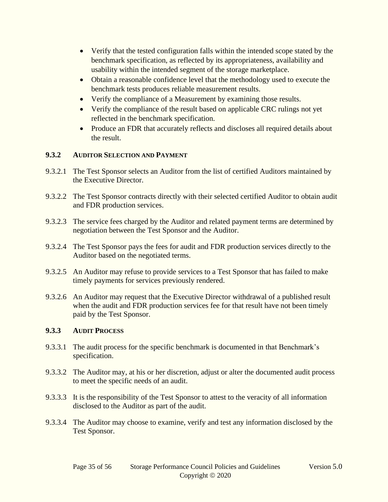- Verify that the tested configuration falls within the intended scope stated by the benchmark specification, as reflected by its appropriateness, availability and usability within the intended segment of the storage marketplace.
- Obtain a reasonable confidence level that the methodology used to execute the benchmark tests produces reliable measurement results.
- Verify the compliance of a Measurement by examining those results.
- Verify the compliance of the result based on applicable CRC rulings not yet reflected in the benchmark specification.
- Produce an FDR that accurately reflects and discloses all required details about the result.

#### **9.3.2 AUDITOR SELECTION AND PAYMENT**

- 9.3.2.1 The Test Sponsor selects an Auditor from the list of certified Auditors maintained by the Executive Director.
- 9.3.2.2 The Test Sponsor contracts directly with their selected certified Auditor to obtain audit and FDR production services.
- 9.3.2.3 The service fees charged by the Auditor and related payment terms are determined by negotiation between the Test Sponsor and the Auditor.
- 9.3.2.4 The Test Sponsor pays the fees for audit and FDR production services directly to the Auditor based on the negotiated terms.
- 9.3.2.5 An Auditor may refuse to provide services to a Test Sponsor that has failed to make timely payments for services previously rendered.
- <span id="page-34-0"></span>9.3.2.6 An Auditor may request that the Executive Director withdrawal of a published result when the audit and FDR production services fee for that result have not been timely paid by the Test Sponsor.

#### **9.3.3 AUDIT PROCESS**

- 9.3.3.1 The audit process for the specific benchmark is documented in that Benchmark's specification.
- 9.3.3.2 The Auditor may, at his or her discretion, adjust or alter the documented audit process to meet the specific needs of an audit.
- 9.3.3.3 It is the responsibility of the Test Sponsor to attest to the veracity of all information disclosed to the Auditor as part of the audit.
- 9.3.3.4 The Auditor may choose to examine, verify and test any information disclosed by the Test Sponsor.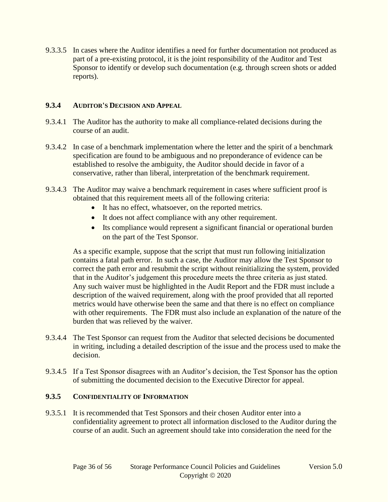9.3.3.5 In cases where the Auditor identifies a need for further documentation not produced as part of a pre-existing protocol, it is the joint responsibility of the Auditor and Test Sponsor to identify or develop such documentation (e.g. through screen shots or added reports).

#### **9.3.4 AUDITOR'S DECISION AND APPEAL**

- 9.3.4.1 The Auditor has the authority to make all compliance-related decisions during the course of an audit.
- 9.3.4.2 In case of a benchmark implementation where the letter and the spirit of a benchmark specification are found to be ambiguous and no preponderance of evidence can be established to resolve the ambiguity, the Auditor should decide in favor of a conservative, rather than liberal, interpretation of the benchmark requirement.
- 9.3.4.3 The Auditor may waive a benchmark requirement in cases where sufficient proof is obtained that this requirement meets all of the following criteria:
	- It has no effect, whatsoever, on the reported metrics.
	- It does not affect compliance with any other requirement.
	- Its compliance would represent a significant financial or operational burden on the part of the Test Sponsor.

As a specific example, suppose that the script that must run following initialization contains a fatal path error. In such a case, the Auditor may allow the Test Sponsor to correct the path error and resubmit the script without reinitializing the system, provided that in the Auditor's judgement this procedure meets the three criteria as just stated. Any such waiver must be highlighted in the Audit Report and the FDR must include a description of the waived requirement, along with the proof provided that all reported metrics would have otherwise been the same and that there is no effect on compliance with other requirements. The FDR must also include an explanation of the nature of the burden that was relieved by the waiver.

- 9.3.4.4 The Test Sponsor can request from the Auditor that selected decisions be documented in writing, including a detailed description of the issue and the process used to make the decision.
- 9.3.4.5 If a Test Sponsor disagrees with an Auditor's decision, the Test Sponsor has the option of submitting the documented decision to the Executive Director for appeal.

#### **9.3.5 CONFIDENTIALITY OF INFORMATION**

9.3.5.1 It is recommended that Test Sponsors and their chosen Auditor enter into a confidentiality agreement to protect all information disclosed to the Auditor during the course of an audit. Such an agreement should take into consideration the need for the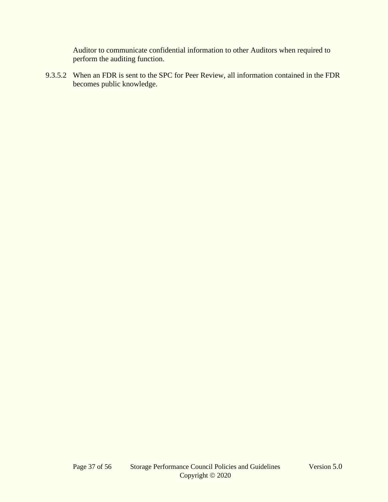Auditor to communicate confidential information to other Auditors when required to perform the auditing function.

9.3.5.2 When an FDR is sent to the SPC for Peer Review, all information contained in the FDR becomes public knowledge.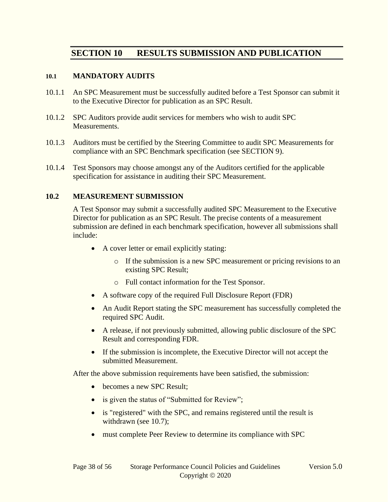# **SECTION 10 RESULTS SUBMISSION AND PUBLICATION**

#### <span id="page-37-0"></span>**10.1 MANDATORY AUDITS**

- 10.1.1 An SPC Measurement must be successfully audited before a Test Sponsor can submit it to the Executive Director for publication as an SPC Result.
- 10.1.2 SPC Auditors provide audit services for members who wish to audit SPC Measurements.
- 10.1.3 Auditors must be certified by the Steering Committee to audit SPC Measurements for compliance with an SPC Benchmark specification (see [SECTION 9\)](#page-30-1).
- 10.1.4 Test Sponsors may choose amongst any of the Auditors certified for the applicable specification for assistance in auditing their SPC Measurement.

#### **10.2 MEASUREMENT SUBMISSION**

A Test Sponsor may submit a successfully audited SPC Measurement to the Executive Director for publication as an SPC Result. The precise contents of a measurement submission are defined in each benchmark specification, however all submissions shall include:

- A cover letter or email explicitly stating:
	- o If the submission is a new SPC measurement or pricing revisions to an existing SPC Result;
	- o Full contact information for the Test Sponsor.
- A software copy of the required Full Disclosure Report (FDR)
- An Audit Report stating the SPC measurement has successfully completed the required SPC Audit.
- A release, if not previously submitted, allowing public disclosure of the SPC Result and corresponding FDR.
- If the submission is incomplete, the Executive Director will not accept the submitted Measurement.

After the above submission requirements have been satisfied, the submission:

- becomes a new SPC Result:
- is given the status of "Submitted for Review";
- is "registered" with the SPC, and remains registered until the result is withdrawn (see [10.7\)](#page-41-0);
- must complete Peer Review to determine its compliance with SPC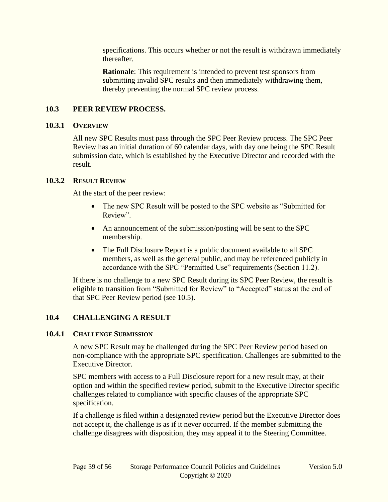specifications. This occurs whether or not the result is withdrawn immediately thereafter.

**Rationale**: This requirement is intended to prevent test sponsors from submitting invalid SPC results and then immediately withdrawing them, thereby preventing the normal SPC review process.

#### <span id="page-38-0"></span>**10.3 PEER REVIEW PROCESS.**

#### **10.3.1 OVERVIEW**

All new SPC Results must pass through the SPC Peer Review process. The SPC Peer Review has an initial duration of 60 calendar days, with day one being the SPC Result submission date, which is established by the Executive Director and recorded with the result.

#### **10.3.2 RESULT REVIEW**

At the start of the peer review:

- The new SPC Result will be posted to the SPC website as "Submitted for Review".
- An announcement of the submission/posting will be sent to the SPC membership.
- The Full Disclosure Report is a public document available to all SPC members, as well as the general public, and may be referenced publicly in accordance with the SPC "Permitted Use" requirements (Section 11.2).

If there is no challenge to a new SPC Result during its SPC Peer Review, the result is eligible to transition from "Submitted for Review" to "Accepted" status at the end of that SPC Peer Review period (see [10.5\)](#page-40-0).

# **10.4 CHALLENGING A RESULT**

#### **10.4.1 CHALLENGE SUBMISSION**

A new SPC Result may be challenged during the SPC Peer Review period based on non-compliance with the appropriate SPC specification. Challenges are submitted to the Executive Director.

SPC members with access to a Full Disclosure report for a new result may, at their option and within the specified review period, submit to the Executive Director specific challenges related to compliance with specific clauses of the appropriate SPC specification.

If a challenge is filed within a designated review period but the Executive Director does not accept it, the challenge is as if it never occurred. If the member submitting the challenge disagrees with disposition, they may appeal it to the Steering Committee.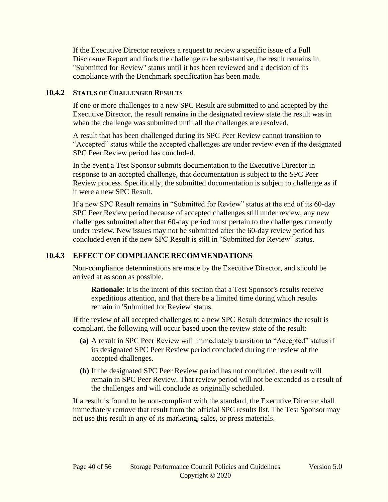If the Executive Director receives a request to review a specific issue of a Full Disclosure Report and finds the challenge to be substantive, the result remains in "Submitted for Review" status until it has been reviewed and a decision of its compliance with the Benchmark specification has been made.

#### **10.4.2 STATUS OF CHALLENGED RESULTS**

If one or more challenges to a new SPC Result are submitted to and accepted by the Executive Director, the result remains in the designated review state the result was in when the challenge was submitted until all the challenges are resolved.

A result that has been challenged during its SPC Peer Review cannot transition to "Accepted" status while the accepted challenges are under review even if the designated SPC Peer Review period has concluded.

In the event a Test Sponsor submits documentation to the Executive Director in response to an accepted challenge, that documentation is subject to the SPC Peer Review process. Specifically, the submitted documentation is subject to challenge as if it were a new SPC Result.

If a new SPC Result remains in "Submitted for Review" status at the end of its 60-day SPC Peer Review period because of accepted challenges still under review, any new challenges submitted after that 60-day period must pertain to the challenges currently under review. New issues may not be submitted after the 60-day review period has concluded even if the new SPC Result is still in "Submitted for Review" status.

#### **10.4.3 EFFECT OF COMPLIANCE RECOMMENDATIONS**

Non-compliance determinations are made by the Executive Director, and should be arrived at as soon as possible.

**Rationale**: It is the intent of this section that a Test Sponsor's results receive expeditious attention, and that there be a limited time during which results remain in 'Submitted for Review' status.

If the review of all accepted challenges to a new SPC Result determines the result is compliant, the following will occur based upon the review state of the result:

- **(a)** A result in SPC Peer Review will immediately transition to "Accepted" status if its designated SPC Peer Review period concluded during the review of the accepted challenges.
- **(b)** If the designated SPC Peer Review period has not concluded, the result will remain in SPC Peer Review. That review period will not be extended as a result of the challenges and will conclude as originally scheduled.

If a result is found to be non-compliant with the standard, the Executive Director shall immediately remove that result from the official SPC results list. The Test Sponsor may not use this result in any of its marketing, sales, or press materials.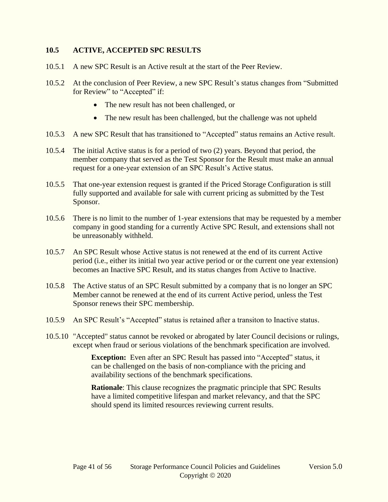#### <span id="page-40-0"></span>**10.5 ACTIVE, ACCEPTED SPC RESULTS**

- 10.5.1 A new SPC Result is an Active result at the start of the Peer Review.
- 10.5.2 At the conclusion of Peer Review, a new SPC Result's status changes from "Submitted for Review" to "Accepted" if:
	- The new result has not been challenged, or
	- The new result has been challenged, but the challenge was not upheld
- 10.5.3 A new SPC Result that has transitioned to "Accepted" status remains an Active result.
- 10.5.4 The initial Active status is for a period of two (2) years. Beyond that period, the member company that served as the Test Sponsor for the Result must make an annual request for a one-year extension of an SPC Result's Active status.
- 10.5.5 That one-year extension request is granted if the Priced Storage Configuration is still fully supported and available for sale with current pricing as submitted by the Test Sponsor.
- 10.5.6 There is no limit to the number of 1-year extensions that may be requested by a member company in good standing for a currently Active SPC Result, and extensions shall not be unreasonably withheld.
- 10.5.7 An SPC Result whose Active status is not renewed at the end of its current Active period (i.e., either its initial two year active period or or the current one year extension) becomes an Inactive SPC Result, and its status changes from Active to Inactive.
- 10.5.8 The Active status of an SPC Result submitted by a company that is no longer an SPC Member cannot be renewed at the end of its current Active period, unless the Test Sponsor renews their SPC membership.
- 10.5.9 An SPC Result's "Accepted" status is retained after a transiton to Inactive status.
- 10.5.10 "Accepted" status cannot be revoked or abrogated by later Council decisions or rulings, except when fraud or serious violations of the benchmark specification are involved.

**Exception:** Even after an SPC Result has passed into "Accepted" status, it can be challenged on the basis of non-compliance with the pricing and availability sections of the benchmark specifications.

**Rationale**: This clause recognizes the pragmatic principle that SPC Results have a limited competitive lifespan and market relevancy, and that the SPC should spend its limited resources reviewing current results.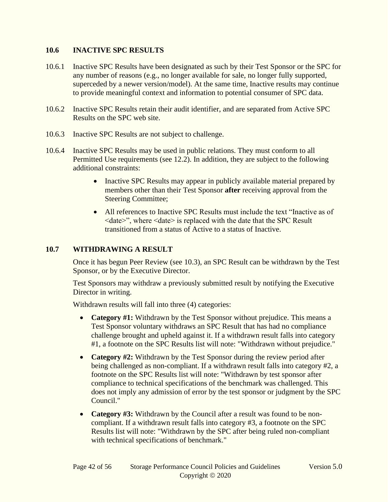#### **10.6 INACTIVE SPC RESULTS**

- 10.6.1 Inactive SPC Results have been designated as such by their Test Sponsor or the SPC for any number of reasons (e.g., no longer available for sale, no longer fully supported, superceded by a newer version/model). At the same time, Inactive results may continue to provide meaningful context and information to potential consumer of SPC data.
- 10.6.2 Inactive SPC Results retain their audit identifier, and are separated from Active SPC Results on the SPC web site.
- 10.6.3 Inactive SPC Results are not subject to challenge.
- 10.6.4 Inactive SPC Results may be used in public relations. They must conform to all Permitted Use requirements (see [12.2\)](#page-49-0). In addition, they are subject to the following additional constraints:
	- Inactive SPC Results may appear in publicly available material prepared by members other than their Test Sponsor **after** receiving approval from the Steering Committee;
	- All references to Inactive SPC Results must include the text "Inactive as of  $\leq$ date $\geq$ ", where  $\leq$ date $\geq$  is replaced with the date that the SPC Result transitioned from a status of Active to a status of Inactive.

#### <span id="page-41-0"></span>**10.7 WITHDRAWING A RESULT**

Once it has begun Peer Review (see [10.3\)](#page-38-0), an SPC Result can be withdrawn by the Test Sponsor, or by the Executive Director.

Test Sponsors may withdraw a previously submitted result by notifying the Executive Director in writing.

Withdrawn results will fall into three (4) categories:

- **Category #1:** Withdrawn by the Test Sponsor without prejudice. This means a Test Sponsor voluntary withdraws an SPC Result that has had no compliance challenge brought and upheld against it. If a withdrawn result falls into category #1, a footnote on the SPC Results list will note: "Withdrawn without prejudice."
- **Category #2:** Withdrawn by the Test Sponsor during the review period after being challenged as non-compliant. If a withdrawn result falls into category #2, a footnote on the SPC Results list will note: "Withdrawn by test sponsor after compliance to technical specifications of the benchmark was challenged. This does not imply any admission of error by the test sponsor or judgment by the SPC Council."
- **Category #3:** Withdrawn by the Council after a result was found to be noncompliant. If a withdrawn result falls into category #3, a footnote on the SPC Results list will note: "Withdrawn by the SPC after being ruled non-compliant with technical specifications of benchmark."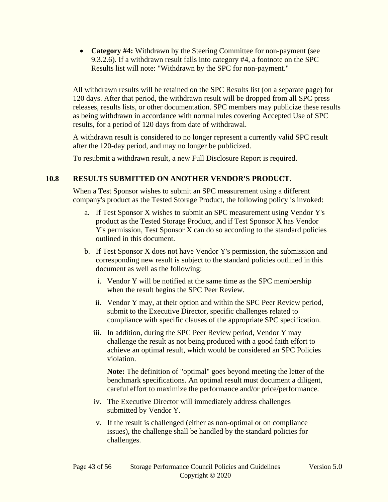• **Category #4:** Withdrawn by the Steering Committee for non-payment (see [9.3.2.6\)](#page-34-0). If a withdrawn result falls into category #4, a footnote on the SPC Results list will note: "Withdrawn by the SPC for non-payment."

All withdrawn results will be retained on the SPC Results list (on a separate page) for 120 days. After that period, the withdrawn result will be dropped from all SPC press releases, results lists, or other documentation. SPC members may publicize these results as being withdrawn in accordance with normal rules covering Accepted Use of SPC results, for a period of 120 days from date of withdrawal.

A withdrawn result is considered to no longer represent a currently valid SPC result after the 120-day period, and may no longer be publicized.

To resubmit a withdrawn result, a new Full Disclosure Report is required.

#### **10.8 RESULTS SUBMITTED ON ANOTHER VENDOR'S PRODUCT.**

When a Test Sponsor wishes to submit an SPC measurement using a different company's product as the Tested Storage Product, the following policy is invoked:

- a. If Test Sponsor X wishes to submit an SPC measurement using Vendor Y's product as the Tested Storage Product, and if Test Sponsor X has Vendor Y's permission, Test Sponsor X can do so according to the standard policies outlined in this document.
- b. If Test Sponsor X does not have Vendor Y's permission, the submission and corresponding new result is subject to the standard policies outlined in this document as well as the following:
	- i. Vendor Y will be notified at the same time as the SPC membership when the result begins the SPC Peer Review.
	- ii. Vendor Y may, at their option and within the SPC Peer Review period, submit to the Executive Director, specific challenges related to compliance with specific clauses of the appropriate SPC specification.
	- iii. In addition, during the SPC Peer Review period, Vendor Y may challenge the result as not being produced with a good faith effort to achieve an optimal result, which would be considered an SPC Policies violation.

**Note:** The definition of "optimal" goes beyond meeting the letter of the benchmark specifications. An optimal result must document a diligent, careful effort to maximize the performance and/or price/performance.

- iv. The Executive Director will immediately address challenges submitted by Vendor Y.
- v. If the result is challenged (either as non-optimal or on compliance issues), the challenge shall be handled by the standard policies for challenges.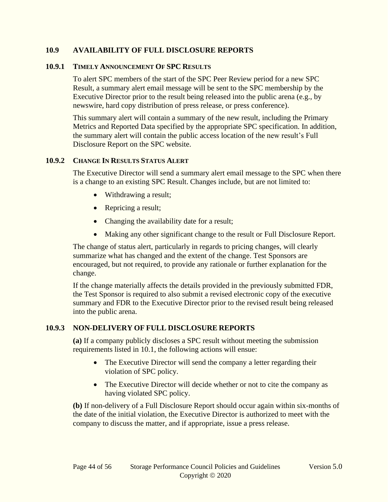#### **10.9 AVAILABILITY OF FULL DISCLOSURE REPORTS**

#### **10.9.1 TIMELY ANNOUNCEMENT OF SPC RESULTS**

To alert SPC members of the start of the SPC Peer Review period for a new SPC Result, a summary alert email message will be sent to the SPC membership by the Executive Director prior to the result being released into the public arena (e.g., by newswire, hard copy distribution of press release, or press conference).

This summary alert will contain a summary of the new result, including the Primary Metrics and Reported Data specified by the appropriate SPC specification. In addition, the summary alert will contain the public access location of the new result's Full Disclosure Report on the SPC website.

#### **10.9.2 CHANGE IN RESULTS STATUS ALERT**

The Executive Director will send a summary alert email message to the SPC when there is a change to an existing SPC Result. Changes include, but are not limited to:

- Withdrawing a result;
- Repricing a result;
- Changing the availability date for a result;
- Making any other significant change to the result or Full Disclosure Report.

The change of status alert, particularly in regards to pricing changes, will clearly summarize what has changed and the extent of the change. Test Sponsors are encouraged, but not required, to provide any rationale or further explanation for the change.

If the change materially affects the details provided in the previously submitted FDR, the Test Sponsor is required to also submit a revised electronic copy of the executive summary and FDR to the Executive Director prior to the revised result being released into the public arena.

#### **10.9.3 NON-DELIVERY OF FULL DISCLOSURE REPORTS**

**(a)** If a company publicly discloses a SPC result without meeting the submission requirements listed in [10.1,](#page-37-0) the following actions will ensue:

- The Executive Director will send the company a letter regarding their violation of SPC policy.
- The Executive Director will decide whether or not to cite the company as having violated SPC policy.

**(b)** If non-delivery of a Full Disclosure Report should occur again within six-months of the date of the initial violation, the Executive Director is authorized to meet with the company to discuss the matter, and if appropriate, issue a press release.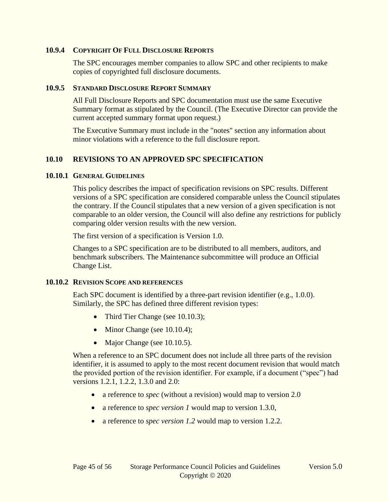#### **10.9.4 COPYRIGHT OF FULL DISCLOSURE REPORTS**

The SPC encourages member companies to allow SPC and other recipients to make copies of copyrighted full disclosure documents.

#### **10.9.5 STANDARD DISCLOSURE REPORT SUMMARY**

All Full Disclosure Reports and SPC documentation must use the same Executive Summary format as stipulated by the Council. (The Executive Director can provide the current accepted summary format upon request.)

The Executive Summary must include in the "notes" section any information about minor violations with a reference to the full disclosure report.

#### <span id="page-44-0"></span>**10.10 REVISIONS TO AN APPROVED SPC SPECIFICATION**

#### **10.10.1 GENERAL GUIDELINES**

This policy describes the impact of specification revisions on SPC results. Different versions of a SPC specification are considered comparable unless the Council stipulates the contrary. If the Council stipulates that a new version of a given specification is not comparable to an older version, the Council will also define any restrictions for publicly comparing older version results with the new version.

The first version of a specification is Version 1.0.

Changes to a SPC specification are to be distributed to all members, auditors, and benchmark subscribers. The Maintenance subcommittee will produce an Official Change List.

#### **10.10.2 REVISION SCOPE AND REFERENCES**

Each SPC document is identified by a three-part revision identifier (e.g., 1.0.0). Similarly, the SPC has defined three different revision types:

- Third Tier Change (see [10.10.3\)](#page-45-0);
- Minor Change (see [10.10.4\)](#page-45-1);
- Major Change (see [10.10.5\)](#page-45-2).

When a reference to an SPC document does not include all three parts of the revision identifier, it is assumed to apply to the most recent document revision that would match the provided portion of the revision identifier. For example, if a document ("spec") had versions 1.2.1, 1.2.2, 1.3.0 and 2.0:

- a reference to *spec* (without a revision) would map to version 2.0
- a reference to *spec version 1* would map to version 1.3.0,
- a reference to *spec version 1.2* would map to version 1.2.2.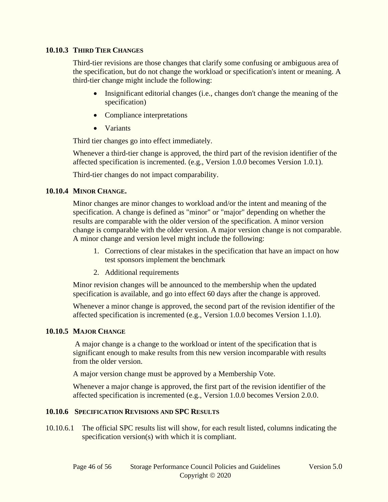#### <span id="page-45-0"></span>**10.10.3 THIRD TIER CHANGES**

Third-tier revisions are those changes that clarify some confusing or ambiguous area of the specification, but do not change the workload or specification's intent or meaning. A third-tier change might include the following:

- Insignificant editorial changes (i.e., changes don't change the meaning of the specification)
- Compliance interpretations
- Variants

Third tier changes go into effect immediately.

Whenever a third-tier change is approved, the third part of the revision identifier of the affected specification is incremented. (e.g., Version 1.0.0 becomes Version 1.0.1).

Third-tier changes do not impact comparability.

#### <span id="page-45-1"></span>**10.10.4 MINOR CHANGE.**

Minor changes are minor changes to workload and/or the intent and meaning of the specification. A change is defined as "minor" or "major" depending on whether the results are comparable with the older version of the specification. A minor version change is comparable with the older version. A major version change is not comparable. A minor change and version level might include the following:

- 1. Corrections of clear mistakes in the specification that have an impact on how test sponsors implement the benchmark
- 2. Additional requirements

Minor revision changes will be announced to the membership when the updated specification is available, and go into effect 60 days after the change is approved.

Whenever a minor change is approved, the second part of the revision identifier of the affected specification is incremented (e.g., Version 1.0.0 becomes Version 1.1.0).

#### <span id="page-45-2"></span>**10.10.5 MAJOR CHANGE**

A major change is a change to the workload or intent of the specification that is significant enough to make results from this new version incomparable with results from the older version.

A major version change must be approved by a Membership Vote.

Whenever a major change is approved, the first part of the revision identifier of the affected specification is incremented (e.g., Version 1.0.0 becomes Version 2.0.0.

#### **10.10.6 SPECIFICATION REVISIONS AND SPC RESULTS**

10.10.6.1 The official SPC results list will show, for each result listed, columns indicating the specification version(s) with which it is compliant.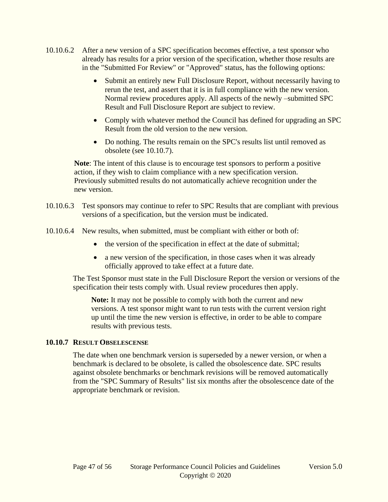- 10.10.6.2 After a new version of a SPC specification becomes effective, a test sponsor who already has results for a prior version of the specification, whether those results are in the "Submitted For Review" or "Approved" status, has the following options:
	- Submit an entirely new Full Disclosure Report, without necessarily having to rerun the test, and assert that it is in full compliance with the new version. Normal review procedures apply. All aspects of the newly –submitted SPC Result and Full Disclosure Report are subject to review.
	- Comply with whatever method the Council has defined for upgrading an SPC Result from the old version to the new version.
	- Do nothing. The results remain on the SPC's results list until removed as obsolete (see [10.10.7\)](#page-46-0).

**Note**: The intent of this clause is to encourage test sponsors to perform a positive action, if they wish to claim compliance with a new specification version. Previously submitted results do not automatically achieve recognition under the new version.

- 10.10.6.3 Test sponsors may continue to refer to SPC Results that are compliant with previous versions of a specification, but the version must be indicated.
- 10.10.6.4 New results, when submitted, must be compliant with either or both of:
	- the version of the specification in effect at the date of submittal;
	- a new version of the specification, in those cases when it was already officially approved to take effect at a future date.

The Test Sponsor must state in the Full Disclosure Report the version or versions of the specification their tests comply with. Usual review procedures then apply.

**Note:** It may not be possible to comply with both the current and new versions. A test sponsor might want to run tests with the current version right up until the time the new version is effective, in order to be able to compare results with previous tests.

#### <span id="page-46-0"></span>**10.10.7 RESULT OBSELESCENSE**

The date when one benchmark version is superseded by a newer version, or when a benchmark is declared to be obsolete, is called the obsolescence date. SPC results against obsolete benchmarks or benchmark revisions will be removed automatically from the "SPC Summary of Results" list six months after the obsolescence date of the appropriate benchmark or revision.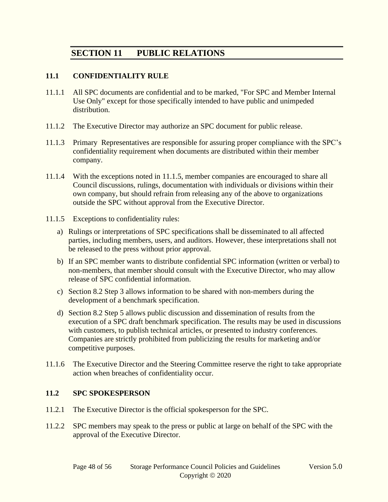# **SECTION 11 PUBLIC RELATIONS**

#### **11.1 CONFIDENTIALITY RULE**

- 11.1.1 All SPC documents are confidential and to be marked, "For SPC and Member Internal Use Only" except for those specifically intended to have public and unimpeded distribution.
- 11.1.2 The Executive Director may authorize an SPC document for public release.
- 11.1.3 Primary Representatives are responsible for assuring proper compliance with the SPC's confidentiality requirement when documents are distributed within their member company.
- 11.1.4 With the exceptions noted in [11.1.5,](#page-47-0) member companies are encouraged to share all Council discussions, rulings, documentation with individuals or divisions within their own company, but should refrain from releasing any of the above to organizations outside the SPC without approval from the Executive Director.
- <span id="page-47-0"></span>11.1.5 Exceptions to confidentiality rules:
	- a) Rulings or interpretations of SPC specifications shall be disseminated to all affected parties, including members, users, and auditors. However, these interpretations shall not be released to the press without prior approval.
	- b) If an SPC member wants to distribute confidential SPC information (written or verbal) to non-members, that member should consult with the Executive Director, who may allow release of SPC confidential information.
	- c) Section 8.2 Step 3 allows information to be shared with non-members during the development of a benchmark specification.
	- d) Section 8.2 Step 5 allows public discussion and dissemination of results from the execution of a SPC draft benchmark specification. The results may be used in discussions with customers, to publish technical articles, or presented to industry conferences. Companies are strictly prohibited from publicizing the results for marketing and/or competitive purposes.
- 11.1.6 The Executive Director and the Steering Committee reserve the right to take appropriate action when breaches of confidentiality occur.

#### **11.2 SPC SPOKESPERSON**

- 11.2.1 The Executive Director is the official spokesperson for the SPC.
- 11.2.2 SPC members may speak to the press or public at large on behalf of the SPC with the approval of the Executive Director.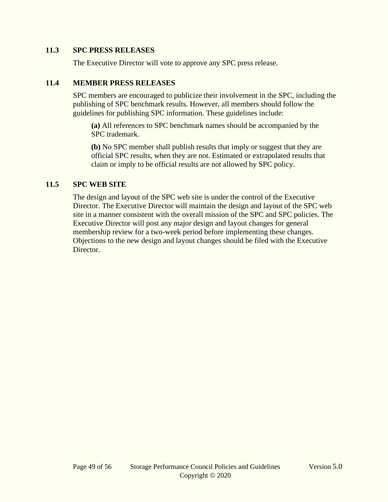#### **11.3 SPC PRESS RELEASES**

The Executive Director will vote to approve any SPC press release.

#### **11.4 MEMBER PRESS RELEASES**

SPC members are encouraged to publicize their involvement in the SPC, including the publishing of SPC benchmark results. However, all members should follow the guidelines for publishing SPC information. These guidelines include:

**(a)** All references to SPC benchmark names should be accompanied by the SPC trademark.

**(b)** No SPC member shall publish results that imply or suggest that they are official SPC results, when they are not. Estimated or extrapolated results that claim or imply to be official results are not allowed by SPC policy.

#### **11.5 SPC WEB SITE**

The design and layout of the SPC web site is under the control of the Executive Director. The Executive Director will maintain the design and layout of the SPC web site in a manner consistent with the overall mission of the SPC and SPC policies. The Executive Director will post any major design and layout changes for general membership review for a two-week period before implementing these changes. Objections to the new design and layout changes should be filed with the Executive Director.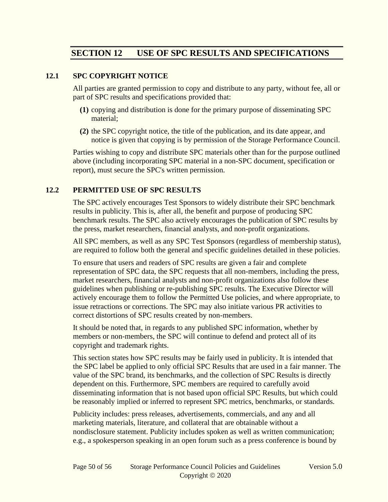# **SECTION 12 USE OF SPC RESULTS AND SPECIFICATIONS**

#### **12.1 SPC COPYRIGHT NOTICE**

All parties are granted permission to copy and distribute to any party, without fee, all or part of SPC results and specifications provided that:

- **(1)** copying and distribution is done for the primary purpose of disseminating SPC material;
- **(2)** the SPC copyright notice, the title of the publication, and its date appear, and notice is given that copying is by permission of the Storage Performance Council.

Parties wishing to copy and distribute SPC materials other than for the purpose outlined above (including incorporating SPC material in a non-SPC document, specification or report), must secure the SPC's written permission.

#### <span id="page-49-0"></span>**12.2 PERMITTED USE OF SPC RESULTS**

The SPC actively encourages Test Sponsors to widely distribute their SPC benchmark results in publicity. This is, after all, the benefit and purpose of producing SPC benchmark results. The SPC also actively encourages the publication of SPC results by the press, market researchers, financial analysts, and non-profit organizations.

All SPC members, as well as any SPC Test Sponsors (regardless of membership status), are required to follow both the general and specific guidelines detailed in these policies.

To ensure that users and readers of SPC results are given a fair and complete representation of SPC data, the SPC requests that all non-members, including the press, market researchers, financial analysts and non-profit organizations also follow these guidelines when publishing or re-publishing SPC results. The Executive Director will actively encourage them to follow the Permitted Use policies, and where appropriate, to issue retractions or corrections. The SPC may also initiate various PR activities to correct distortions of SPC results created by non-members.

It should be noted that, in regards to any published SPC information, whether by members or non-members, the SPC will continue to defend and protect all of its copyright and trademark rights.

This section states how SPC results may be fairly used in publicity. It is intended that the SPC label be applied to only official SPC Results that are used in a fair manner. The value of the SPC brand, its benchmarks, and the collection of SPC Results is directly dependent on this. Furthermore, SPC members are required to carefully avoid disseminating information that is not based upon official SPC Results, but which could be reasonably implied or inferred to represent SPC metrics, benchmarks, or standards.

Publicity includes: press releases, advertisements, commercials, and any and all marketing materials, literature, and collateral that are obtainable without a nondisclosure statement. Publicity includes spoken as well as written communication; e.g., a spokesperson speaking in an open forum such as a press conference is bound by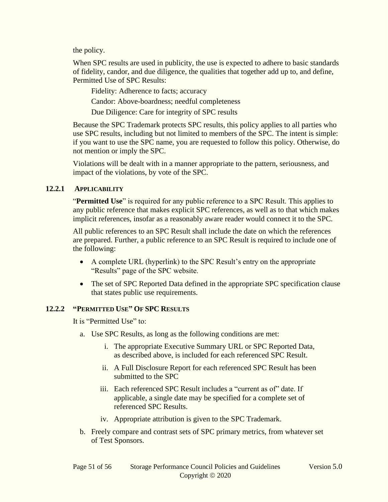the policy.

When SPC results are used in publicity, the use is expected to adhere to basic standards of fidelity, candor, and due diligence, the qualities that together add up to, and define, Permitted Use of SPC Results:

Fidelity: Adherence to facts; accuracy Candor: Above-boardness; needful completeness

Due Diligence: Care for integrity of SPC results

Because the SPC Trademark protects SPC results, this policy applies to all parties who use SPC results, including but not limited to members of the SPC. The intent is simple: if you want to use the SPC name, you are requested to follow this policy. Otherwise, do not mention or imply the SPC.

Violations will be dealt with in a manner appropriate to the pattern, seriousness, and impact of the violations, by vote of the SPC.

#### **12.2.1 APPLICABILITY**

"**Permitted Use**" is required for any public reference to a SPC Result. This applies to any public reference that makes explicit SPC references, as well as to that which makes implicit references, insofar as a reasonably aware reader would connect it to the SPC.

All public references to an SPC Result shall include the date on which the references are prepared. Further, a public reference to an SPC Result is required to include one of the following:

- A complete URL (hyperlink) to the SPC Result's entry on the appropriate "Results" page of the SPC website.
- The set of SPC Reported Data defined in the appropriate SPC specification clause that states public use requirements.

#### **12.2.2 "PERMITTED USE" OF SPC RESULTS**

It is "Permitted Use" to:

- a. Use SPC Results, as long as the following conditions are met:
	- i. The appropriate Executive Summary URL or SPC Reported Data, as described above, is included for each referenced SPC Result.
	- ii. A Full Disclosure Report for each referenced SPC Result has been submitted to the SPC
	- iii. Each referenced SPC Result includes a "current as of" date. If applicable, a single date may be specified for a complete set of referenced SPC Results.
	- iv. Appropriate attribution is given to the SPC Trademark.
- b. Freely compare and contrast sets of SPC primary metrics, from whatever set of Test Sponsors.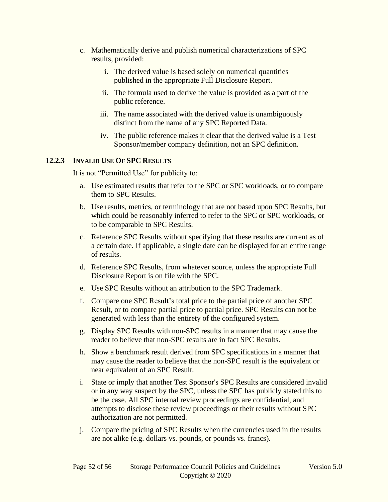- c. Mathematically derive and publish numerical characterizations of SPC results, provided:
	- i. The derived value is based solely on numerical quantities published in the appropriate Full Disclosure Report.
	- ii. The formula used to derive the value is provided as a part of the public reference.
	- iii. The name associated with the derived value is unambiguously distinct from the name of any SPC Reported Data.
	- iv. The public reference makes it clear that the derived value is a Test Sponsor/member company definition, not an SPC definition.

#### **12.2.3 INVALID USE OF SPC RESULTS**

It is not "Permitted Use" for publicity to:

- a. Use estimated results that refer to the SPC or SPC workloads, or to compare them to SPC Results.
- b. Use results, metrics, or terminology that are not based upon SPC Results, but which could be reasonably inferred to refer to the SPC or SPC workloads, or to be comparable to SPC Results.
- c. Reference SPC Results without specifying that these results are current as of a certain date. If applicable, a single date can be displayed for an entire range of results.
- d. Reference SPC Results, from whatever source, unless the appropriate Full Disclosure Report is on file with the SPC.
- e. Use SPC Results without an attribution to the SPC Trademark.
- f. Compare one SPC Result's total price to the partial price of another SPC Result, or to compare partial price to partial price. SPC Results can not be generated with less than the entirety of the configured system.
- g. Display SPC Results with non-SPC results in a manner that may cause the reader to believe that non-SPC results are in fact SPC Results.
- h. Show a benchmark result derived from SPC specifications in a manner that may cause the reader to believe that the non-SPC result is the equivalent or near equivalent of an SPC Result.
- i. State or imply that another Test Sponsor's SPC Results are considered invalid or in any way suspect by the SPC, unless the SPC has publicly stated this to be the case. All SPC internal review proceedings are confidential, and attempts to disclose these review proceedings or their results without SPC authorization are not permitted.
- j. Compare the pricing of SPC Results when the currencies used in the results are not alike (e.g. dollars vs. pounds, or pounds vs. francs).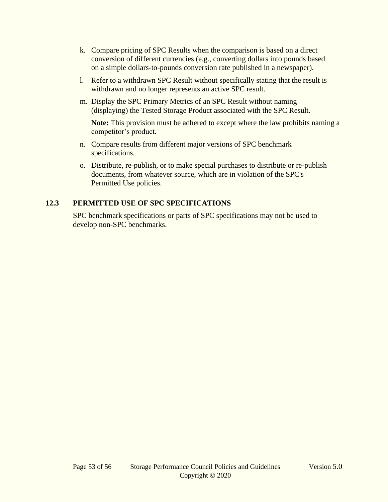- k. Compare pricing of SPC Results when the comparison is based on a direct conversion of different currencies (e.g., converting dollars into pounds based on a simple dollars-to-pounds conversion rate published in a newspaper).
- l. Refer to a withdrawn SPC Result without specifically stating that the result is withdrawn and no longer represents an active SPC result.
- m. Display the SPC Primary Metrics of an SPC Result without naming (displaying) the Tested Storage Product associated with the SPC Result.

**Note:** This provision must be adhered to except where the law prohibits naming a competitor's product.

- n. Compare results from different major versions of SPC benchmark specifications.
- o. Distribute, re-publish, or to make special purchases to distribute or re-publish documents, from whatever source, which are in violation of the SPC's Permitted Use policies.

# **12.3 PERMITTED USE OF SPC SPECIFICATIONS**

SPC benchmark specifications or parts of SPC specifications may not be used to develop non-SPC benchmarks.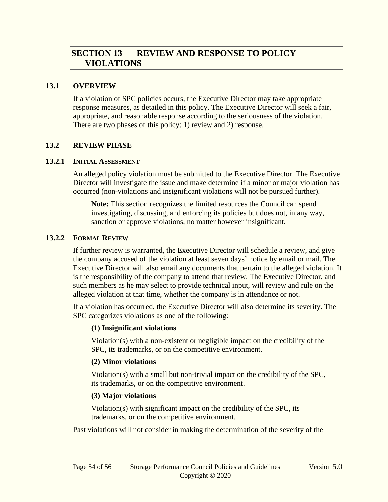# **SECTION 13 REVIEW AND RESPONSE TO POLICY VIOLATIONS**

#### **13.1 OVERVIEW**

If a violation of SPC policies occurs, the Executive Director may take appropriate response measures, as detailed in this policy. The Executive Director will seek a fair, appropriate, and reasonable response according to the seriousness of the violation. There are two phases of this policy: 1) review and 2) response.

#### **13.2 REVIEW PHASE**

#### **13.2.1 INITIAL ASSESSMENT**

An alleged policy violation must be submitted to the Executive Director. The Executive Director will investigate the issue and make determine if a minor or major violation has occurred (non-violations and insignificant violations will not be pursued further).

**Note:** This section recognizes the limited resources the Council can spend investigating, discussing, and enforcing its policies but does not, in any way, sanction or approve violations, no matter however insignificant.

#### **13.2.2 FORMAL REVIEW**

If further review is warranted, the Executive Director will schedule a review, and give the company accused of the violation at least seven days' notice by email or mail. The Executive Director will also email any documents that pertain to the alleged violation. It is the responsibility of the company to attend that review. The Executive Director, and such members as he may select to provide technical input, will review and rule on the alleged violation at that time, whether the company is in attendance or not.

If a violation has occurred, the Executive Director will also determine its severity. The SPC categorizes violations as one of the following:

#### **(1) Insignificant violations**

Violation(s) with a non-existent or negligible impact on the credibility of the SPC, its trademarks, or on the competitive environment.

#### **(2) Minor violations**

Violation(s) with a small but non-trivial impact on the credibility of the SPC, its trademarks, or on the competitive environment.

#### **(3) Major violations**

Violation(s) with significant impact on the credibility of the SPC, its trademarks, or on the competitive environment.

Past violations will not consider in making the determination of the severity of the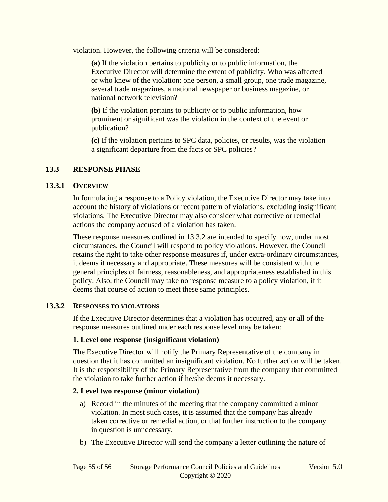violation. However, the following criteria will be considered:

**(a)** If the violation pertains to publicity or to public information, the Executive Director will determine the extent of publicity. Who was affected or who knew of the violation: one person, a small group, one trade magazine, several trade magazines, a national newspaper or business magazine, or national network television?

**(b)** If the violation pertains to publicity or to public information, how prominent or significant was the violation in the context of the event or publication?

**(c)** If the violation pertains to SPC data, policies, or results, was the violation a significant departure from the facts or SPC policies?

#### **13.3 RESPONSE PHASE**

#### **13.3.1 OVERVIEW**

In formulating a response to a Policy violation, the Executive Director may take into account the history of violations or recent pattern of violations, excluding insignificant violations. The Executive Director may also consider what corrective or remedial actions the company accused of a violation has taken.

These response measures outlined in [13.3.2](#page-54-0) are intended to specify how, under most circumstances, the Council will respond to policy violations. However, the Council retains the right to take other response measures if, under extra-ordinary circumstances, it deems it necessary and appropriate. These measures will be consistent with the general principles of fairness, reasonableness, and appropriateness established in this policy. Also, the Council may take no response measure to a policy violation, if it deems that course of action to meet these same principles.

#### <span id="page-54-0"></span>**13.3.2 RESPONSES TO VIOLATIONS**

If the Executive Director determines that a violation has occurred, any or all of the response measures outlined under each response level may be taken:

#### **1. Level one response (insignificant violation)**

The Executive Director will notify the Primary Representative of the company in question that it has committed an insignificant violation. No further action will be taken. It is the responsibility of the Primary Representative from the company that committed the violation to take further action if he/she deems it necessary.

#### **2. Level two response (minor violation)**

- a) Record in the minutes of the meeting that the company committed a minor violation. In most such cases, it is assumed that the company has already taken corrective or remedial action, or that further instruction to the company in question is unnecessary.
- b) The Executive Director will send the company a letter outlining the nature of